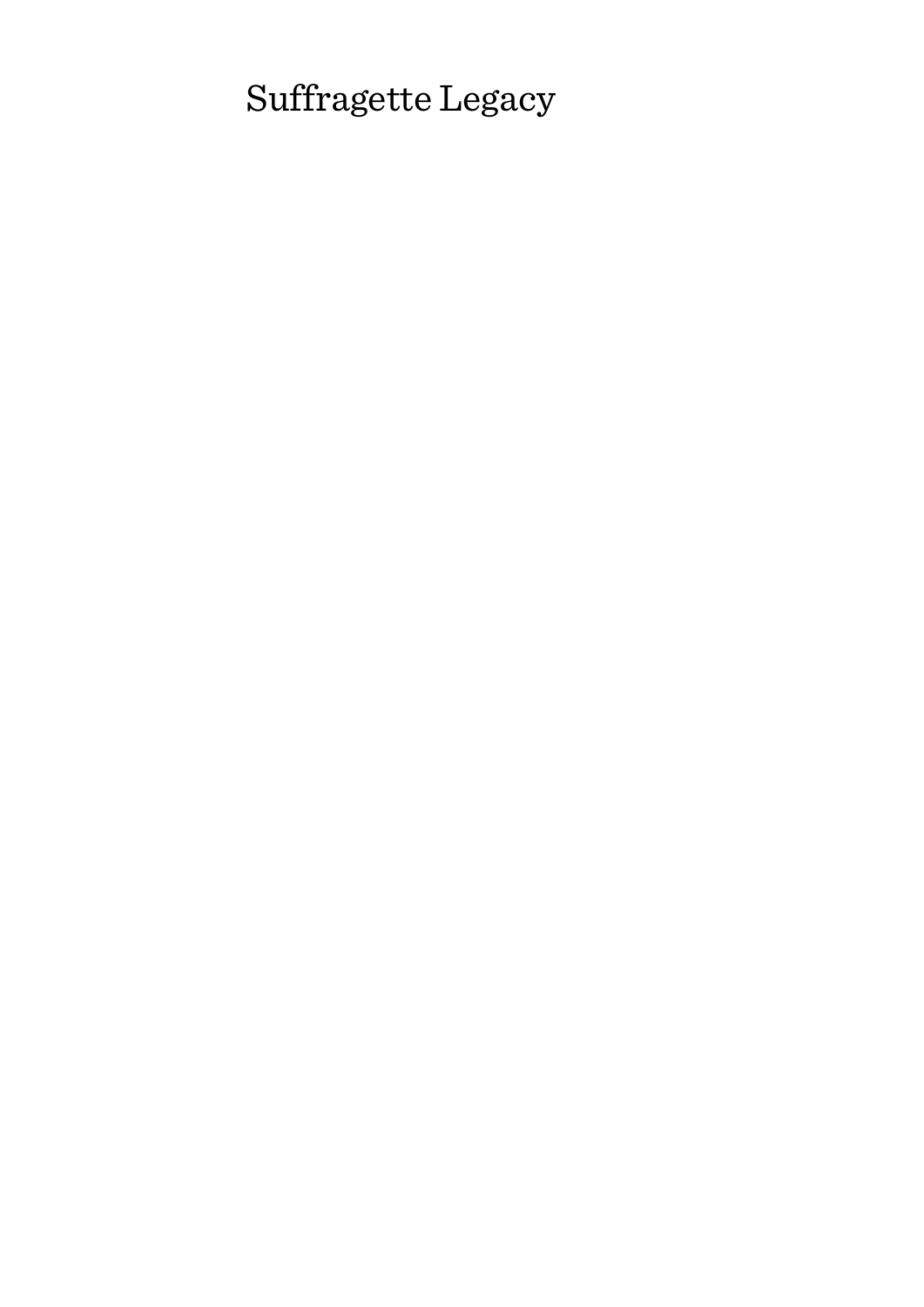# Suffragette Legacy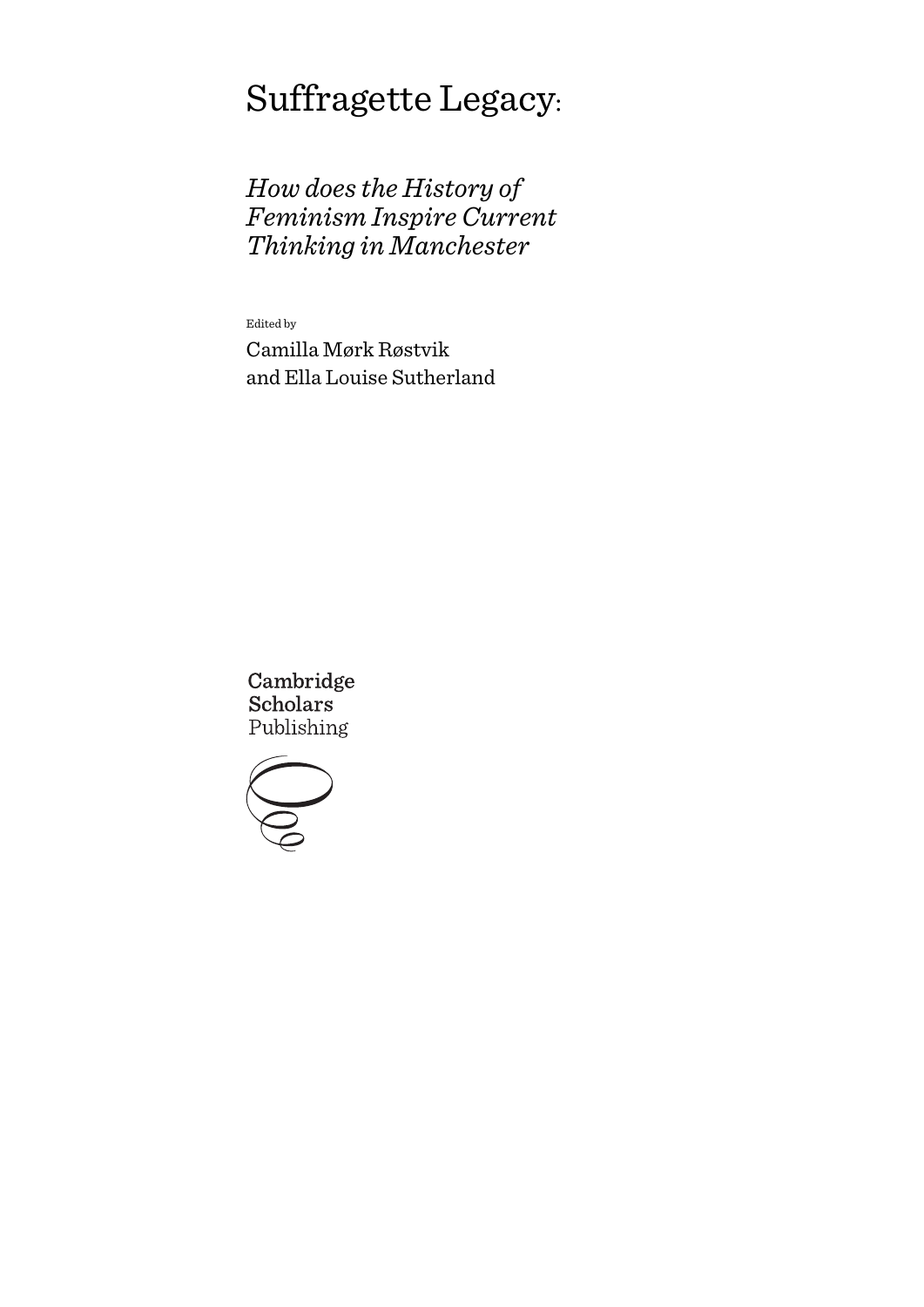# Suffragette Legacy:

*How does the History of Feminism Inspire Current Thinking in Manchester*

Edited by Camilla Mørk Røstvik and Ella Louise Sutherland

Cambridge **Scholars** Publishing

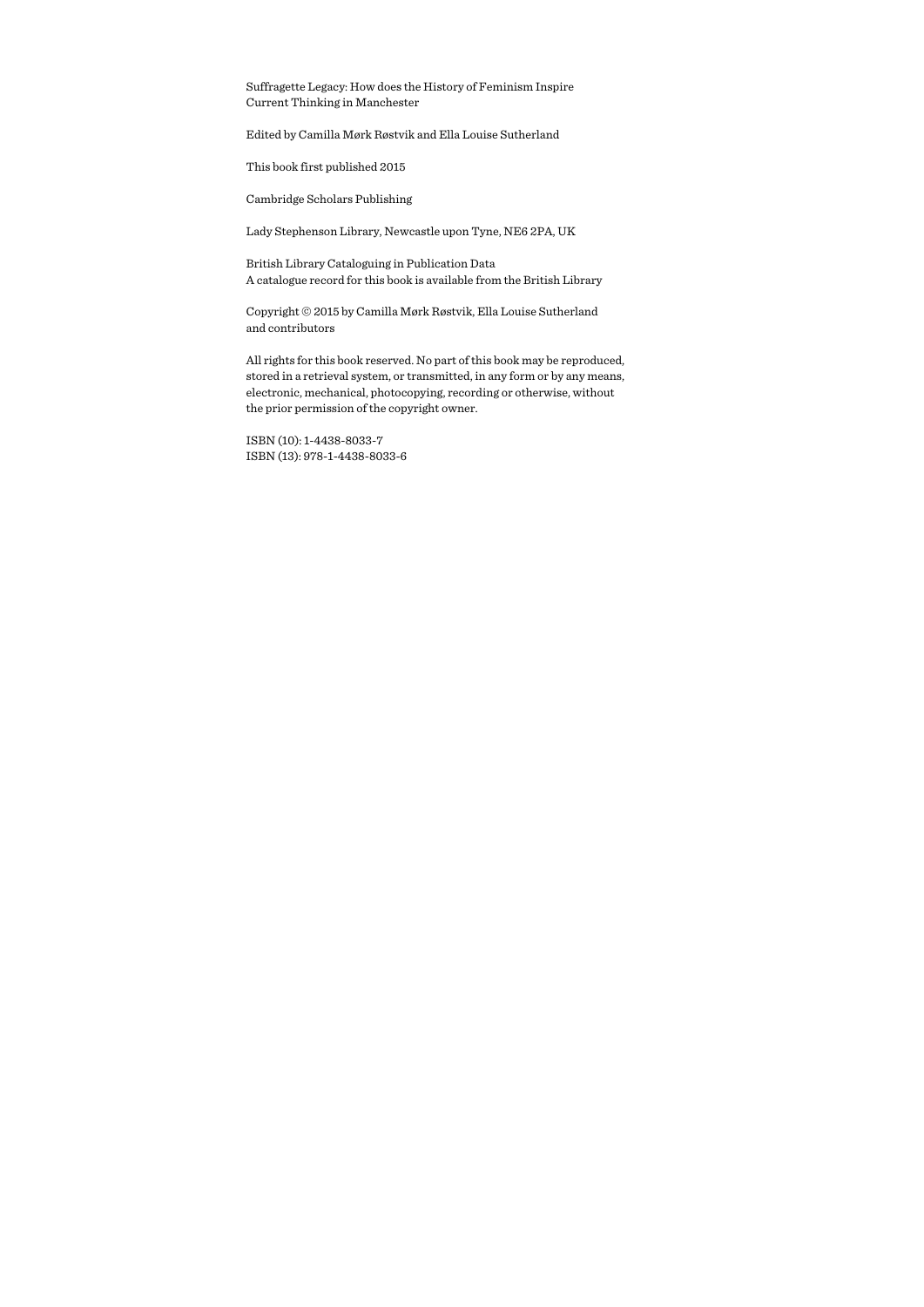Suffragette Legacy: How does the History of Feminism Inspire Current Thinking in Manchester

Edited by Camilla Mørk Røstvik and Ella Louise Sutherland

This book first published 2015

Cambridge Scholars Publishing

Lady Stephenson Library, Newcastle upon Tyne, NE6 2PA, UK

British Library Cataloguing in Publication Data A catalogue record for this book is available from the British Library

Copyright © 2015 by Camilla Mørk Røstvik, Ella Louise Sutherland and contributors

All rights for this book reserved. No part of this book may be reproduced, stored in a retrieval system, or transmitted, in any form or by any means, electronic, mechanical, photocopying, recording or otherwise, without the prior permission of the copyright owner.

ISBN (10): 1-4438-8033-7 ISBN (13): 978-1-4438-8033-6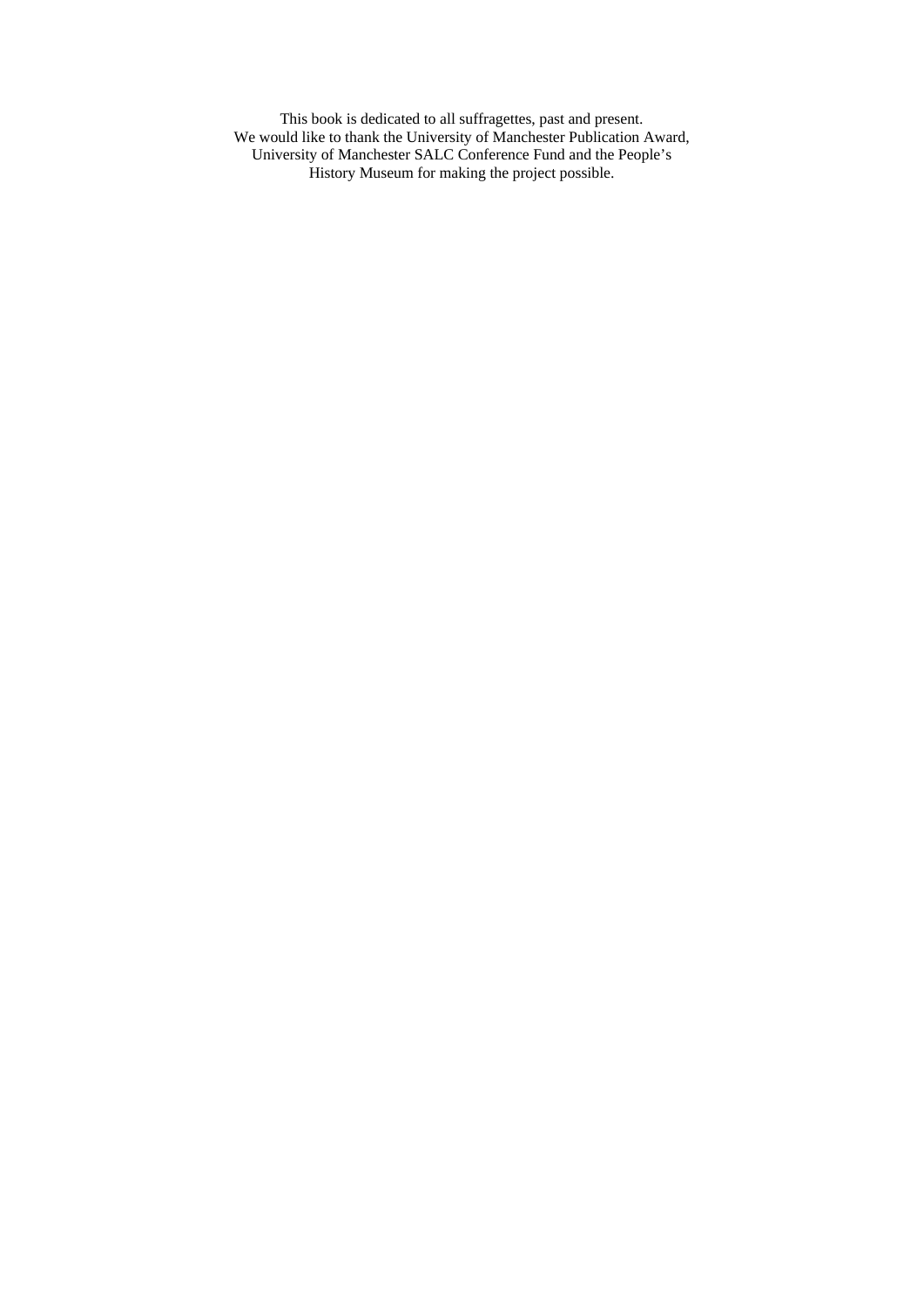This book is dedicated to all suffragettes, past and present. We would like to thank the University of Manchester Publication Award, University of Manchester SALC Conference Fund and the People's History Museum for making the project possible.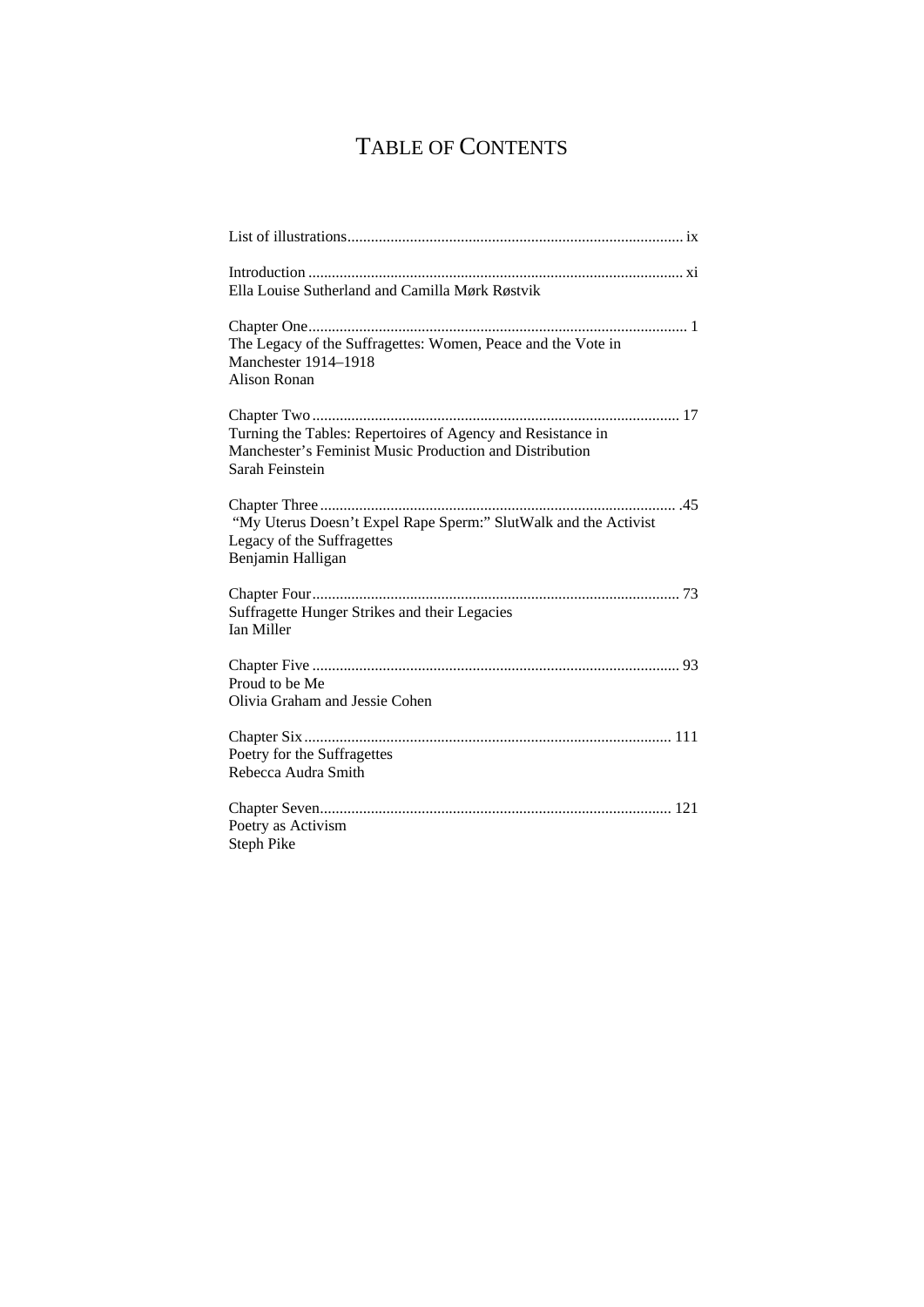## TABLE OF CONTENTS

| Ella Louise Sutherland and Camilla Mørk Røstvik                                                                                           |
|-------------------------------------------------------------------------------------------------------------------------------------------|
| The Legacy of the Suffragettes: Women, Peace and the Vote in<br>Manchester 1914-1918<br><b>Alison Ronan</b>                               |
| Turning the Tables: Repertoires of Agency and Resistance in<br>Manchester's Feminist Music Production and Distribution<br>Sarah Feinstein |
| "My Uterus Doesn't Expel Rape Sperm:" SlutWalk and the Activist<br>Legacy of the Suffragettes<br>Benjamin Halligan                        |
| Suffragette Hunger Strikes and their Legacies<br><b>Ian Miller</b>                                                                        |
| Proud to be Me<br>Olivia Graham and Jessie Cohen                                                                                          |
| Poetry for the Suffragettes<br>Rebecca Audra Smith                                                                                        |
| Poetry as Activism<br><b>Steph Pike</b>                                                                                                   |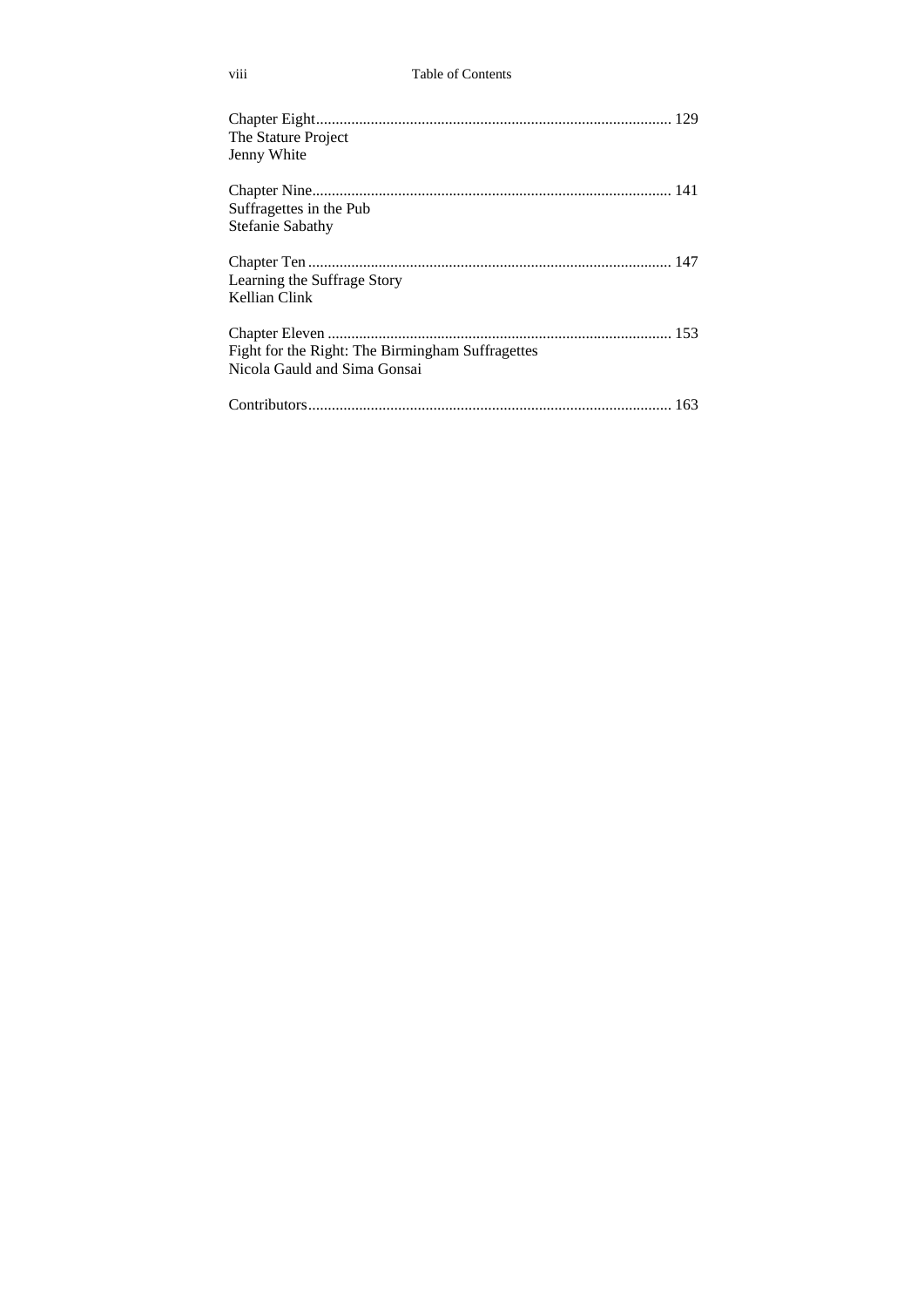| The Stature Project<br>Jenny White                                               |  |
|----------------------------------------------------------------------------------|--|
|                                                                                  |  |
| Suffragettes in the Pub                                                          |  |
| <b>Stefanie Sabathy</b>                                                          |  |
| Learning the Suffrage Story                                                      |  |
| Kellian Clink                                                                    |  |
| Fight for the Right: The Birmingham Suffragettes<br>Nicola Gauld and Sima Gonsai |  |
|                                                                                  |  |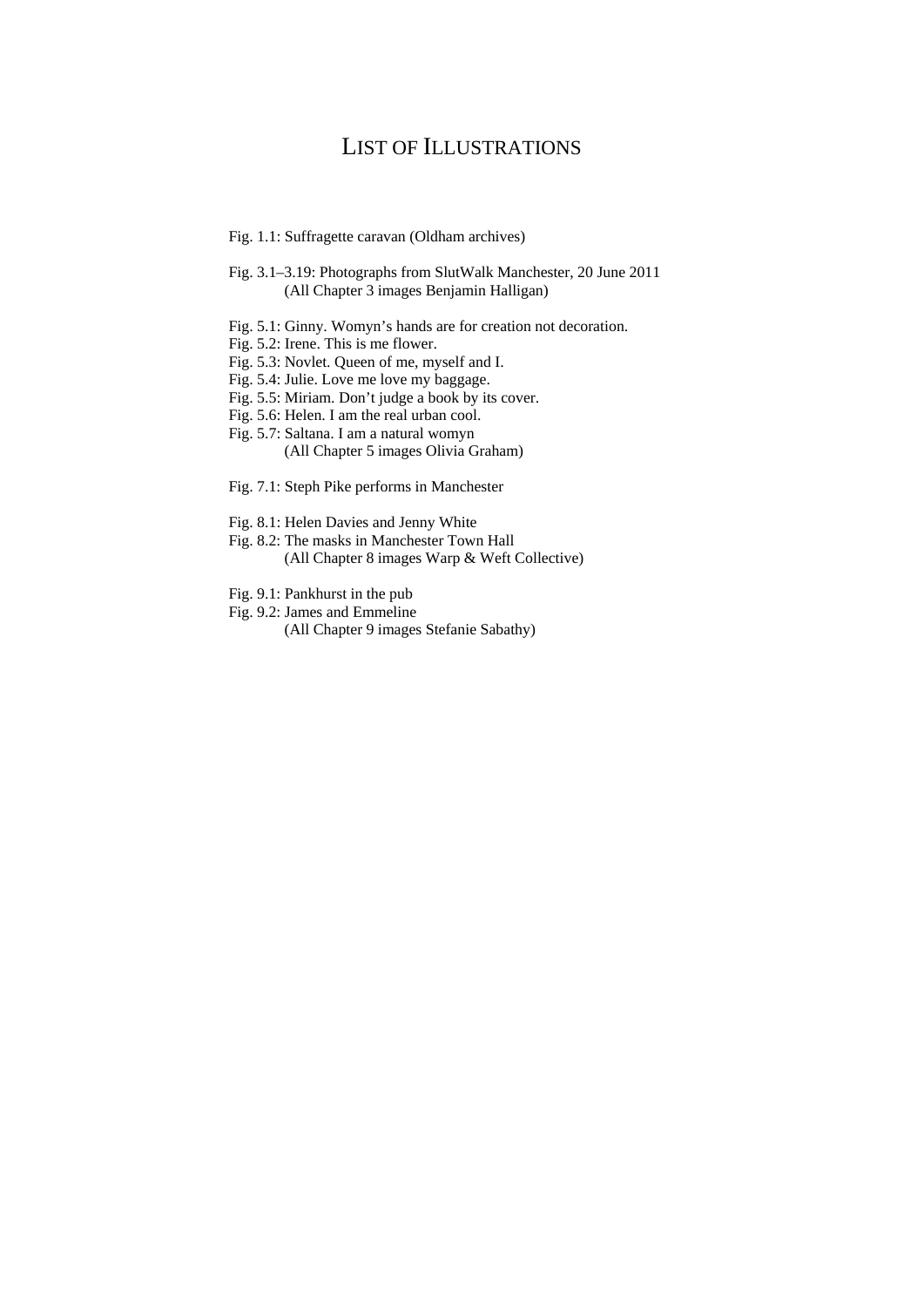## LIST OF ILLUSTRATIONS

- Fig. 1.1: Suffragette caravan (Oldham archives)
- Fig. 3.1–3.19: Photographs from SlutWalk Manchester, 20 June 2011 (All Chapter 3 images Benjamin Halligan)
- Fig. 5.1: Ginny. Womyn's hands are for creation not decoration.
- Fig. 5.2: Irene. This is me flower.
- Fig. 5.3: Novlet. Queen of me, myself and I.
- Fig. 5.4: Julie. Love me love my baggage.
- Fig. 5.5: Miriam. Don't judge a book by its cover.
- Fig. 5.6: Helen. I am the real urban cool.
- Fig. 5.7: Saltana. I am a natural womyn (All Chapter 5 images Olivia Graham)
- Fig. 7.1: Steph Pike performs in Manchester
- Fig. 8.1: Helen Davies and Jenny White
- Fig. 8.2: The masks in Manchester Town Hall (All Chapter 8 images Warp & Weft Collective)
- Fig. 9.1: Pankhurst in the pub
- Fig. 9.2: James and Emmeline

(All Chapter 9 images Stefanie Sabathy)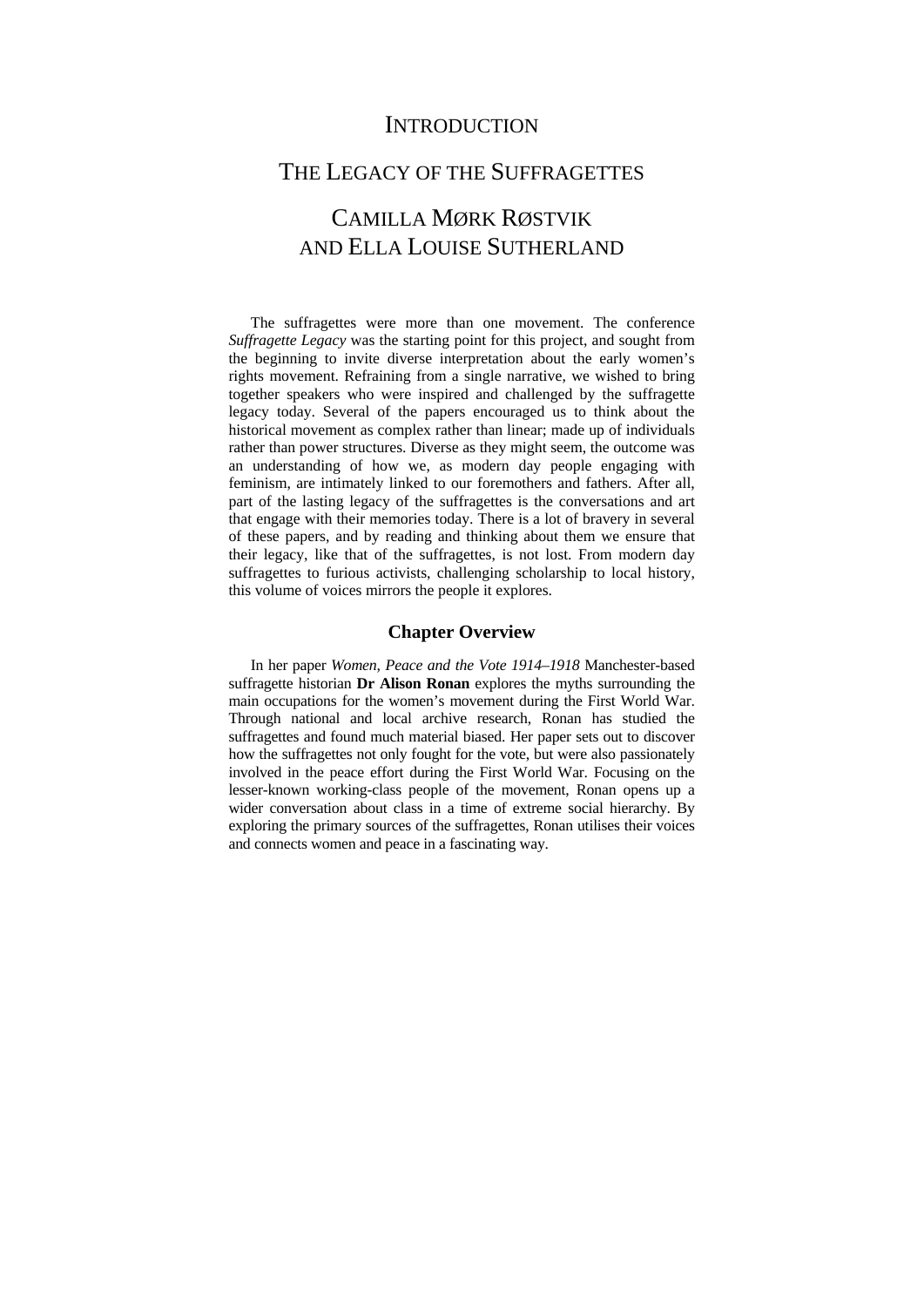### **INTRODUCTION**

### THE LEGACY OF THE SUFFRAGETTES

## CAMILLA MØRK RØSTVIK AND ELLA LOUISE SUTHERLAND

The suffragettes were more than one movement. The conference *Suffragette Legacy* was the starting point for this project, and sought from the beginning to invite diverse interpretation about the early women's rights movement. Refraining from a single narrative, we wished to bring together speakers who were inspired and challenged by the suffragette legacy today. Several of the papers encouraged us to think about the historical movement as complex rather than linear; made up of individuals rather than power structures. Diverse as they might seem, the outcome was an understanding of how we, as modern day people engaging with feminism, are intimately linked to our foremothers and fathers. After all, part of the lasting legacy of the suffragettes is the conversations and art that engage with their memories today. There is a lot of bravery in several of these papers, and by reading and thinking about them we ensure that their legacy, like that of the suffragettes, is not lost. From modern day suffragettes to furious activists, challenging scholarship to local history, this volume of voices mirrors the people it explores.

#### **Chapter Overview**

In her paper *Women, Peace and the Vote 1914–1918* Manchester-based suffragette historian **Dr Alison Ronan** explores the myths surrounding the main occupations for the women's movement during the First World War. Through national and local archive research, Ronan has studied the suffragettes and found much material biased. Her paper sets out to discover how the suffragettes not only fought for the vote, but were also passionately involved in the peace effort during the First World War. Focusing on the lesser-known working-class people of the movement, Ronan opens up a wider conversation about class in a time of extreme social hierarchy. By exploring the primary sources of the suffragettes, Ronan utilises their voices and connects women and peace in a fascinating way.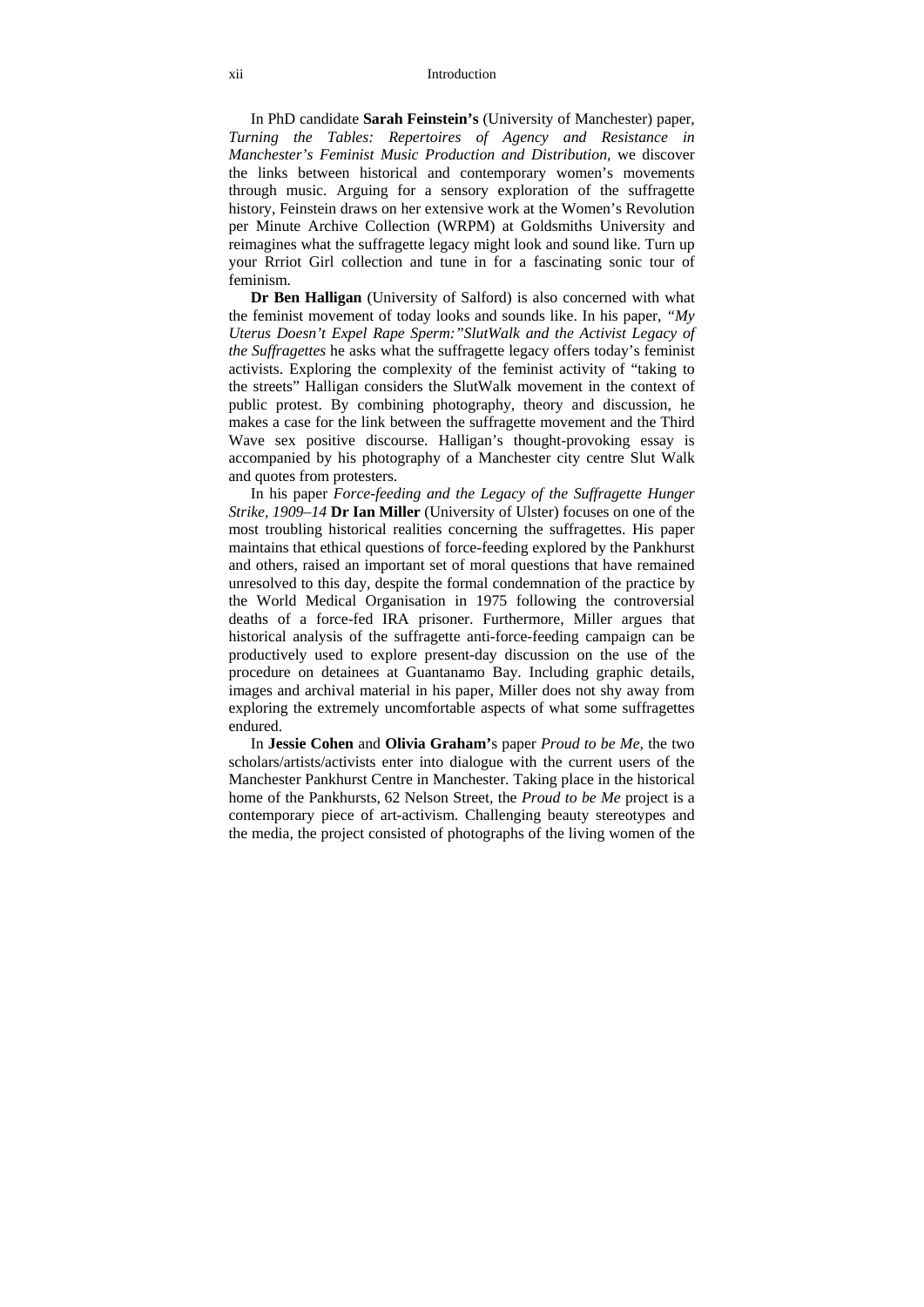#### xii Introduction

In PhD candidate **Sarah Feinstein's** (University of Manchester) paper, *Turning the Tables: Repertoires of Agency and Resistance in Manchester's Feminist Music Production and Distribution,* we discover the links between historical and contemporary women's movements through music. Arguing for a sensory exploration of the suffragette history, Feinstein draws on her extensive work at the Women's Revolution per Minute Archive Collection (WRPM) at Goldsmiths University and reimagines what the suffragette legacy might look and sound like. Turn up your Rrriot Girl collection and tune in for a fascinating sonic tour of feminism.

**Dr Ben Halligan** (University of Salford) is also concerned with what the feminist movement of today looks and sounds like. In his paper, *"My Uterus Doesn't Expel Rape Sperm:"SlutWalk and the Activist Legacy of the Suffragettes* he asks what the suffragette legacy offers today's feminist activists. Exploring the complexity of the feminist activity of "taking to the streets" Halligan considers the SlutWalk movement in the context of public protest. By combining photography, theory and discussion, he makes a case for the link between the suffragette movement and the Third Wave sex positive discourse. Halligan's thought-provoking essay is accompanied by his photography of a Manchester city centre Slut Walk and quotes from protesters.

In his paper *Force-feeding and the Legacy of the Suffragette Hunger Strike, 1909–14* **Dr Ian Miller** (University of Ulster) focuses on one of the most troubling historical realities concerning the suffragettes. His paper maintains that ethical questions of force-feeding explored by the Pankhurst and others, raised an important set of moral questions that have remained unresolved to this day, despite the formal condemnation of the practice by the World Medical Organisation in 1975 following the controversial deaths of a force-fed IRA prisoner. Furthermore, Miller argues that historical analysis of the suffragette anti-force-feeding campaign can be productively used to explore present-day discussion on the use of the procedure on detainees at Guantanamo Bay. Including graphic details, images and archival material in his paper, Miller does not shy away from exploring the extremely uncomfortable aspects of what some suffragettes endured.

In **Jessie Cohen** and **Olivia Graham'**s paper *Proud to be Me,* the two scholars/artists/activists enter into dialogue with the current users of the Manchester Pankhurst Centre in Manchester. Taking place in the historical home of the Pankhursts, 62 Nelson Street, the *Proud to be Me* project is a contemporary piece of art-activism. Challenging beauty stereotypes and the media, the project consisted of photographs of the living women of the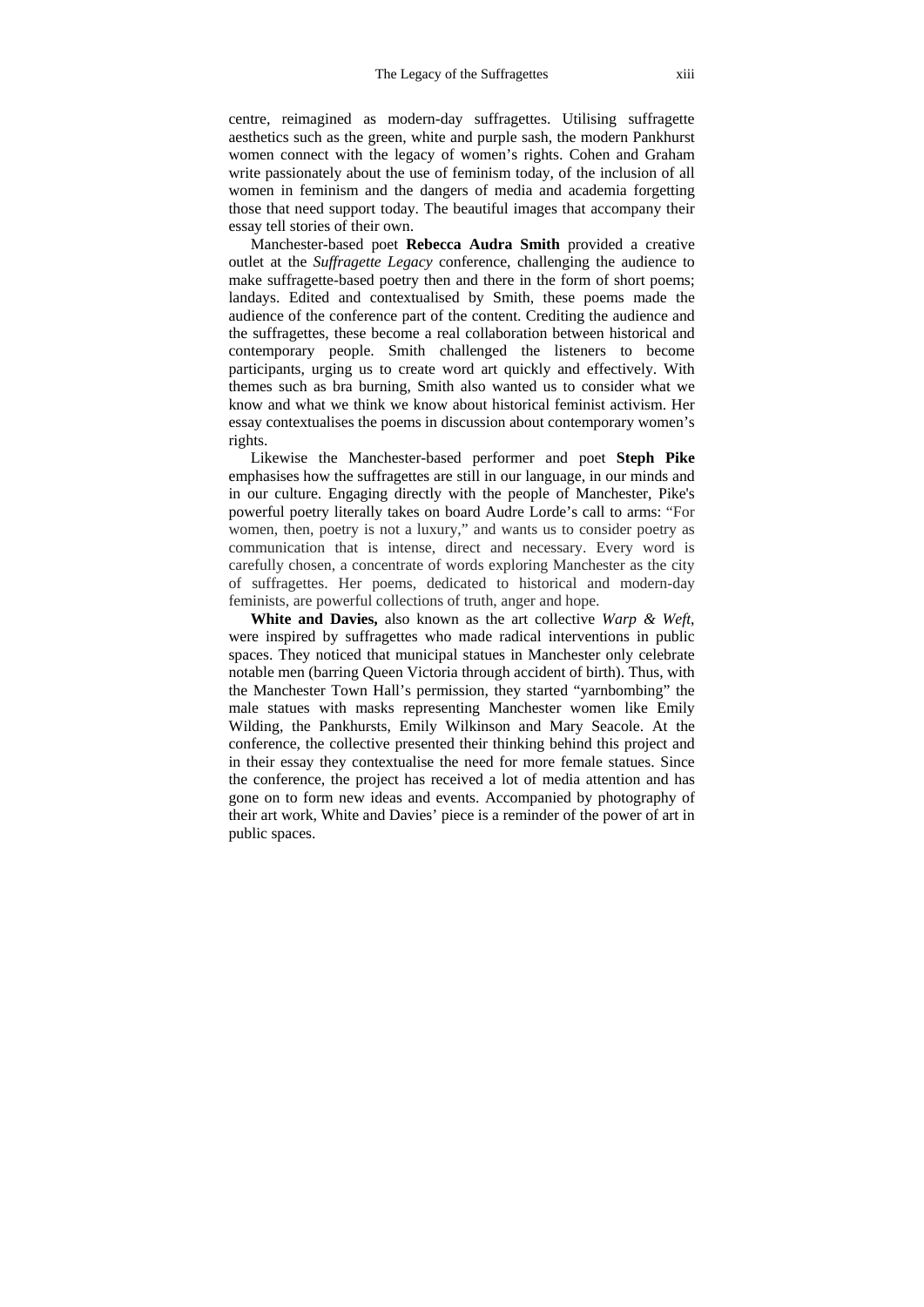centre, reimagined as modern-day suffragettes. Utilising suffragette aesthetics such as the green, white and purple sash, the modern Pankhurst women connect with the legacy of women's rights. Cohen and Graham write passionately about the use of feminism today, of the inclusion of all women in feminism and the dangers of media and academia forgetting those that need support today. The beautiful images that accompany their essay tell stories of their own.

Manchester-based poet **Rebecca Audra Smith** provided a creative outlet at the *Suffragette Legacy* conference, challenging the audience to make suffragette-based poetry then and there in the form of short poems; landays. Edited and contextualised by Smith, these poems made the audience of the conference part of the content. Crediting the audience and the suffragettes, these become a real collaboration between historical and contemporary people. Smith challenged the listeners to become participants, urging us to create word art quickly and effectively. With themes such as bra burning, Smith also wanted us to consider what we know and what we think we know about historical feminist activism. Her essay contextualises the poems in discussion about contemporary women's rights.

Likewise the Manchester-based performer and poet **Steph Pike** emphasises how the suffragettes are still in our language, in our minds and in our culture. Engaging directly with the people of Manchester, Pike's powerful poetry literally takes on board Audre Lorde's call to arms: "For women, then, poetry is not a luxury," and wants us to consider poetry as communication that is intense, direct and necessary. Every word is carefully chosen, a concentrate of words exploring Manchester as the city of suffragettes. Her poems, dedicated to historical and modern-day feminists, are powerful collections of truth, anger and hope.

**White and Davies,** also known as the art collective *Warp & Weft*, were inspired by suffragettes who made radical interventions in public spaces. They noticed that municipal statues in Manchester only celebrate notable men (barring Queen Victoria through accident of birth). Thus, with the Manchester Town Hall's permission, they started "yarnbombing" the male statues with masks representing Manchester women like Emily Wilding, the Pankhursts, Emily Wilkinson and Mary Seacole. At the conference, the collective presented their thinking behind this project and in their essay they contextualise the need for more female statues. Since the conference, the project has received a lot of media attention and has gone on to form new ideas and events. Accompanied by photography of their art work, White and Davies' piece is a reminder of the power of art in public spaces.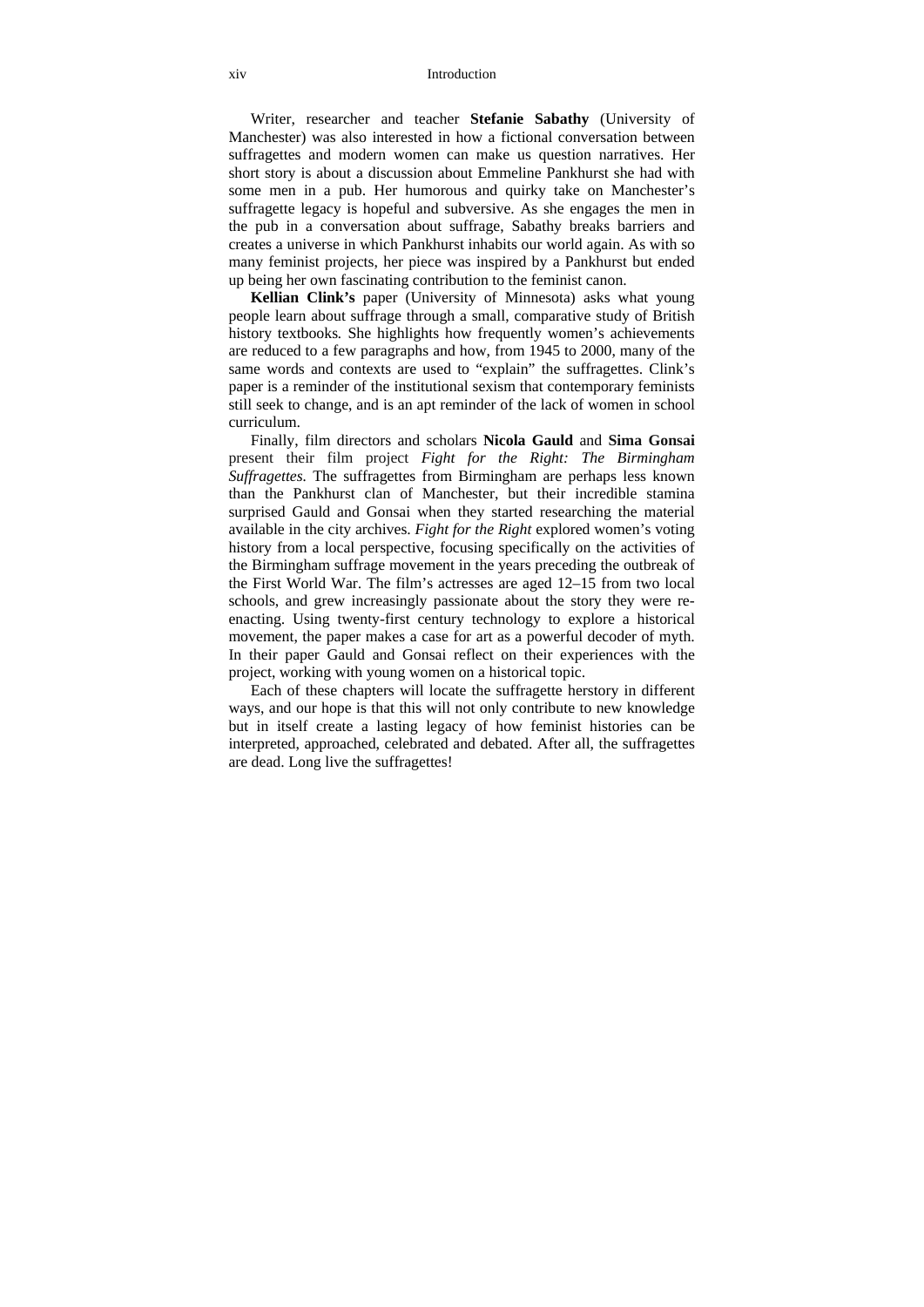#### xiv Introduction

Writer, researcher and teacher **Stefanie Sabathy** (University of Manchester) was also interested in how a fictional conversation between suffragettes and modern women can make us question narratives. Her short story is about a discussion about Emmeline Pankhurst she had with some men in a pub. Her humorous and quirky take on Manchester's suffragette legacy is hopeful and subversive. As she engages the men in the pub in a conversation about suffrage, Sabathy breaks barriers and creates a universe in which Pankhurst inhabits our world again. As with so many feminist projects, her piece was inspired by a Pankhurst but ended up being her own fascinating contribution to the feminist canon.

**Kellian Clink's** paper (University of Minnesota) asks what young people learn about suffrage through a small, comparative study of British history textbooks*.* She highlights how frequently women's achievements are reduced to a few paragraphs and how, from 1945 to 2000, many of the same words and contexts are used to "explain" the suffragettes. Clink's paper is a reminder of the institutional sexism that contemporary feminists still seek to change, and is an apt reminder of the lack of women in school curriculum.

Finally, film directors and scholars **Nicola Gauld** and **Sima Gonsai** present their film project *Fight for the Right: The Birmingham Suffragettes.* The suffragettes from Birmingham are perhaps less known than the Pankhurst clan of Manchester, but their incredible stamina surprised Gauld and Gonsai when they started researching the material available in the city archives. *Fight for the Right* explored women's voting history from a local perspective, focusing specifically on the activities of the Birmingham suffrage movement in the years preceding the outbreak of the First World War. The film's actresses are aged 12–15 from two local schools, and grew increasingly passionate about the story they were reenacting. Using twenty-first century technology to explore a historical movement, the paper makes a case for art as a powerful decoder of myth. In their paper Gauld and Gonsai reflect on their experiences with the project, working with young women on a historical topic.

Each of these chapters will locate the suffragette herstory in different ways, and our hope is that this will not only contribute to new knowledge but in itself create a lasting legacy of how feminist histories can be interpreted, approached, celebrated and debated. After all, the suffragettes are dead. Long live the suffragettes!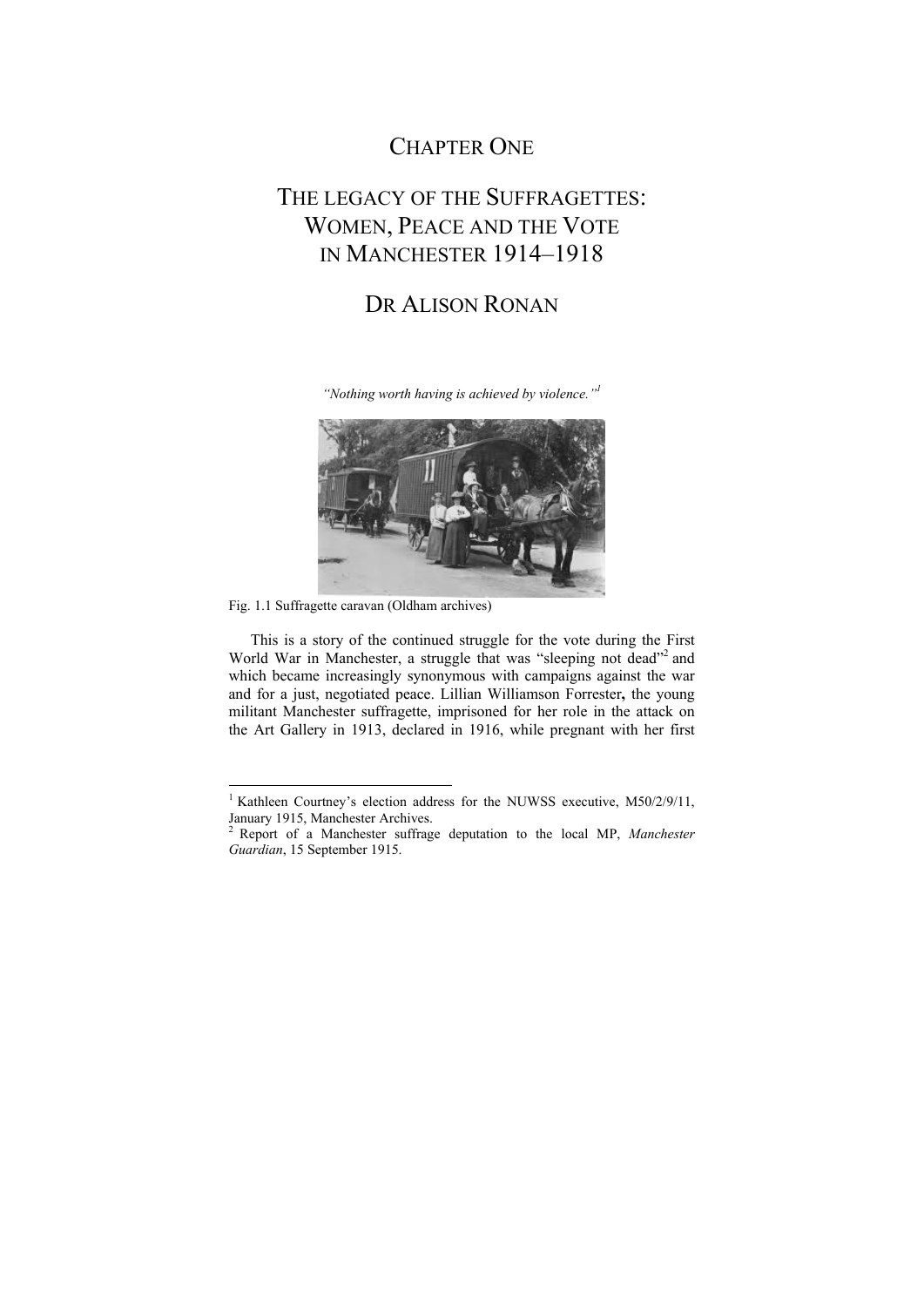## CHAPTER ONE

## THE LEGACY OF THE SUFFRAGETTES. WOMEN, PEACE AND THE VOTE IN MANCHESTER 1914–1918

## DR ALISON RONAN

*"Nothing worth having is achieved by violence."1*



Fig. 1.1 Suffragette caravan (Oldham archives)

This is a story of the continued struggle for the vote during the First World War in Manchester, a struggle that was "sleeping not dead"<sup>2</sup> and which became increasingly synonymous with campaigns against the war and for a just, negotiated peace. Lillian Williamson Forrester**,** the young militant Manchester suffragette, imprisoned for her role in the attack on the Art Gallery in 1913, declared in 1916, while pregnant with her first

<sup>&</sup>lt;sup>1</sup> Kathleen Courtney's election address for the NUWSS executive, M50/2/9/11, January 1915, Manchester Archives.

<sup>2</sup> Report of a Manchester suffrage deputation to the local MP, *Manchester Guardian*, 15 September 1915.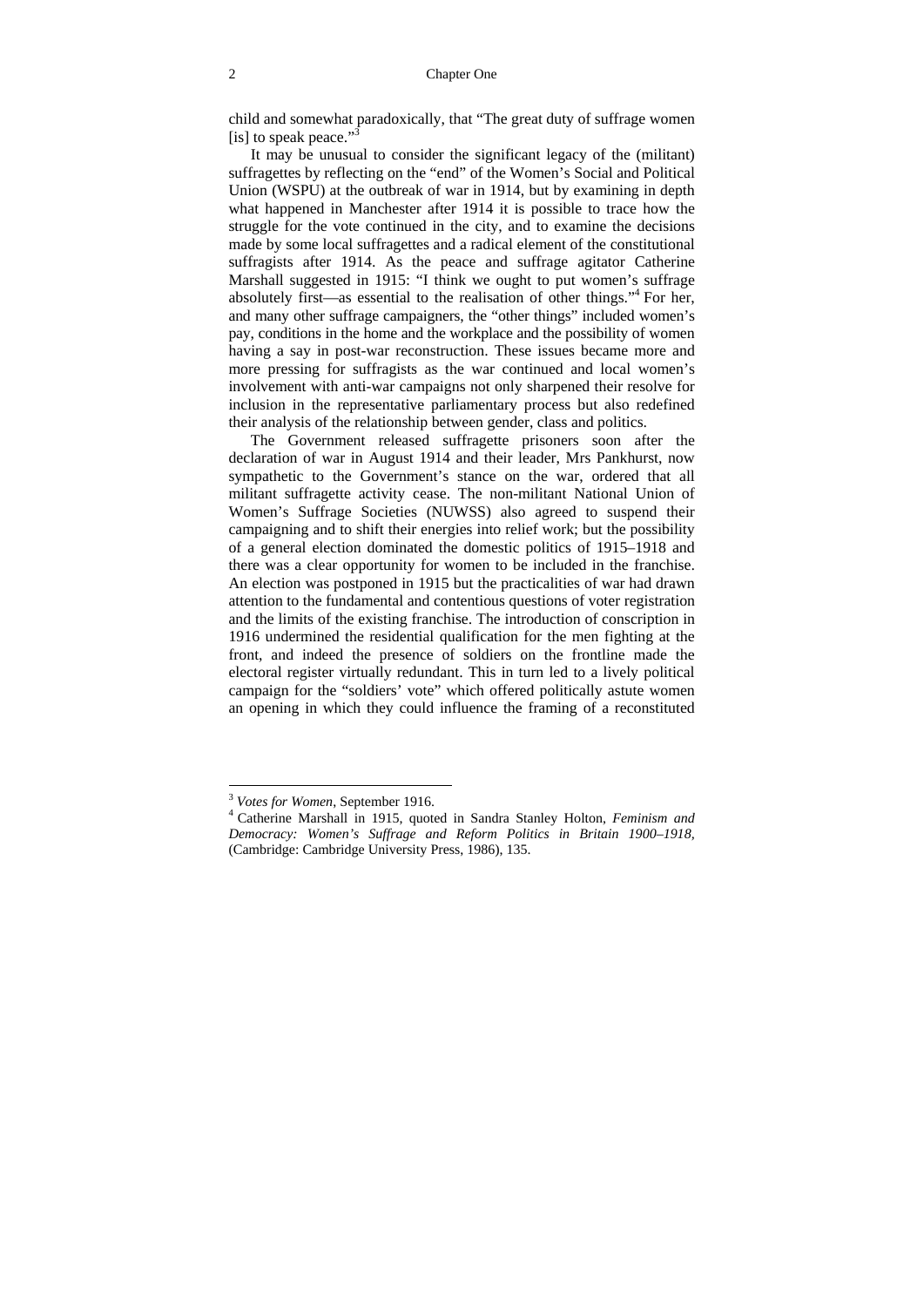child and somewhat paradoxically, that "The great duty of suffrage women [is] to speak peace."<sup>3</sup>

It may be unusual to consider the significant legacy of the (militant) suffragettes by reflecting on the "end" of the Women's Social and Political Union (WSPU) at the outbreak of war in 1914, but by examining in depth what happened in Manchester after 1914 it is possible to trace how the struggle for the vote continued in the city, and to examine the decisions made by some local suffragettes and a radical element of the constitutional suffragists after 1914. As the peace and suffrage agitator Catherine Marshall suggested in 1915: "I think we ought to put women's suffrage absolutely first—as essential to the realisation of other things."<sup>4</sup> For her, and many other suffrage campaigners, the "other things" included women's pay, conditions in the home and the workplace and the possibility of women having a say in post-war reconstruction. These issues became more and more pressing for suffragists as the war continued and local women's involvement with anti-war campaigns not only sharpened their resolve for inclusion in the representative parliamentary process but also redefined their analysis of the relationship between gender, class and politics.

The Government released suffragette prisoners soon after the declaration of war in August 1914 and their leader, Mrs Pankhurst, now sympathetic to the Government's stance on the war, ordered that all militant suffragette activity cease. The non-militant National Union of Women's Suffrage Societies (NUWSS) also agreed to suspend their campaigning and to shift their energies into relief work; but the possibility of a general election dominated the domestic politics of 1915–1918 and there was a clear opportunity for women to be included in the franchise. An election was postponed in 1915 but the practicalities of war had drawn attention to the fundamental and contentious questions of voter registration and the limits of the existing franchise. The introduction of conscription in 1916 undermined the residential qualification for the men fighting at the front, and indeed the presence of soldiers on the frontline made the electoral register virtually redundant. This in turn led to a lively political campaign for the "soldiers' vote" which offered politically astute women an opening in which they could influence the framing of a reconstituted

<sup>&</sup>lt;sup>3</sup> *Votes for Women*, September 1916.

Catherine Marshall in 1915, quoted in Sandra Stanley Holton, *Feminism and Democracy: Women's Suffrage and Reform Politics in Britain 1900–1918,* (Cambridge: Cambridge University Press, 1986), 135.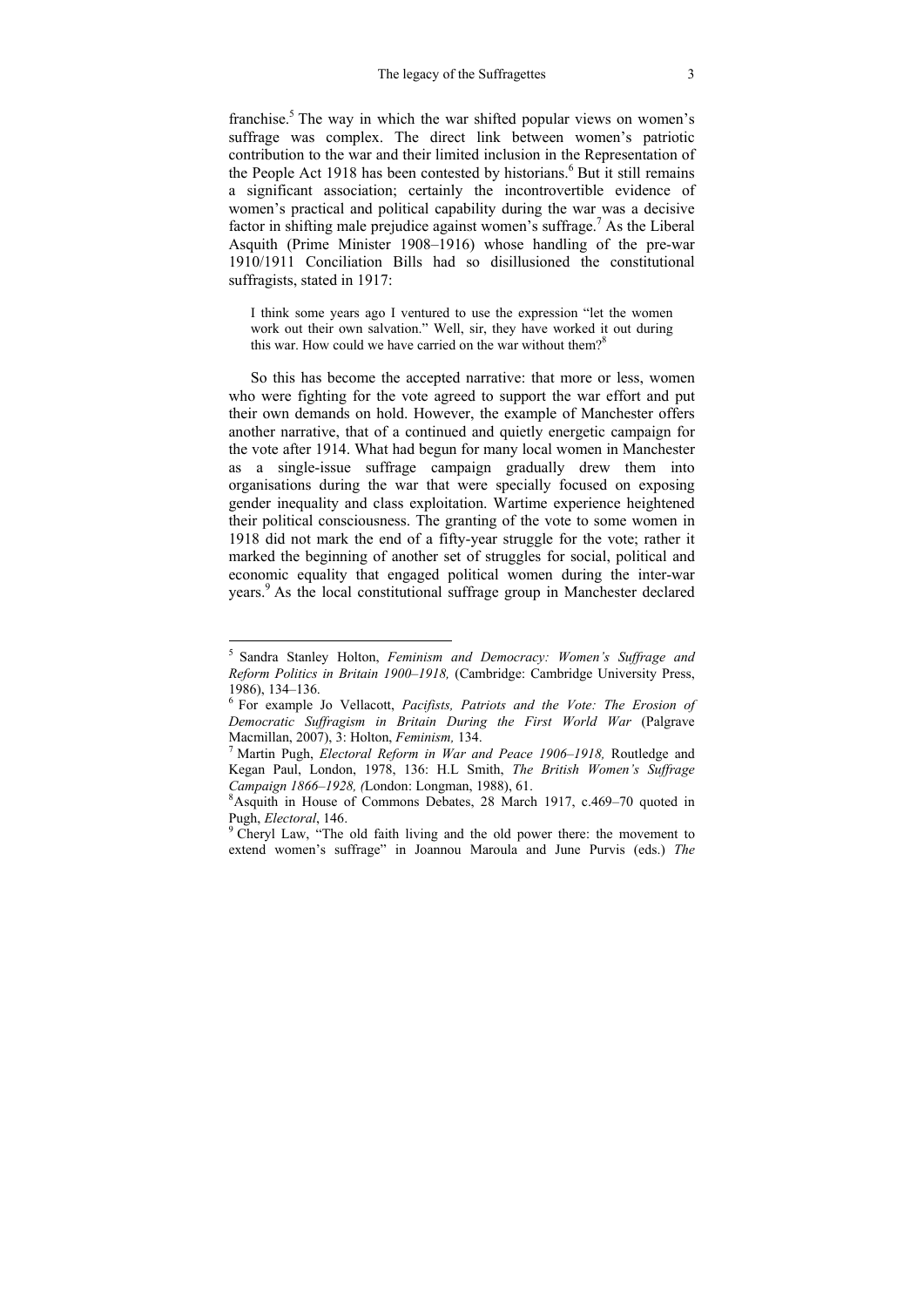franchise.<sup>5</sup> The way in which the war shifted popular views on women's suffrage was complex. The direct link between women's patriotic contribution to the war and their limited inclusion in the Representation of the People Act 1918 has been contested by historians.<sup>6</sup> But it still remains a significant association; certainly the incontrovertible evidence of women's practical and political capability during the war was a decisive factor in shifting male prejudice against women's suffrage.<sup>7</sup> As the Liberal Asquith (Prime Minister 1908–1916) whose handling of the pre-war 1910/1911 Conciliation Bills had so disillusioned the constitutional suffragists, stated in 1917:

I think some years ago I ventured to use the expression "let the women work out their own salvation." Well, sir, they have worked it out during this war. How could we have carried on the war without them?<sup>8</sup>

So this has become the accepted narrative: that more or less, women who were fighting for the vote agreed to support the war effort and put their own demands on hold. However, the example of Manchester offers another narrative, that of a continued and quietly energetic campaign for the vote after 1914. What had begun for many local women in Manchester as a single-issue suffrage campaign gradually drew them into organisations during the war that were specially focused on exposing gender inequality and class exploitation. Wartime experience heightened their political consciousness. The granting of the vote to some women in 1918 did not mark the end of a fifty-year struggle for the vote; rather it marked the beginning of another set of struggles for social, political and economic equality that engaged political women during the inter-war years.<sup>9</sup> As the local constitutional suffrage group in Manchester declared

<sup>5</sup> Sandra Stanley Holton, *Feminism and Democracy: Women's Suffrage and Reform Politics in Britain 1900–1918,* (Cambridge: Cambridge University Press, 1986), 134–136.<br><sup>6</sup> For example Jo Vellacott, *Pacifists, Patriots and the Vote: The Erosion of* 

*Democratic Suffragism in Britain During the First World War* (Palgrave Macmillan, 2007), 3: Holton, *Feminism,* 134. 7

Martin Pugh, *Electoral Reform in War and Peace 1906–1918,* Routledge and Kegan Paul, London, 1978, 136: H.L Smith, *The British Women's Suffrage Campaign 1866–1928, (London: Longman, 1988), 61.* 

Asquith in House of Commons Debates, 28 March 1917, c.469–70 quoted in Pugh, *Electoral*, 146.

<sup>&</sup>lt;sup>9</sup> Cheryl Law, "The old faith living and the old power there: the movement to extend women's suffrage" in Joannou Maroula and June Purvis (eds.) *The*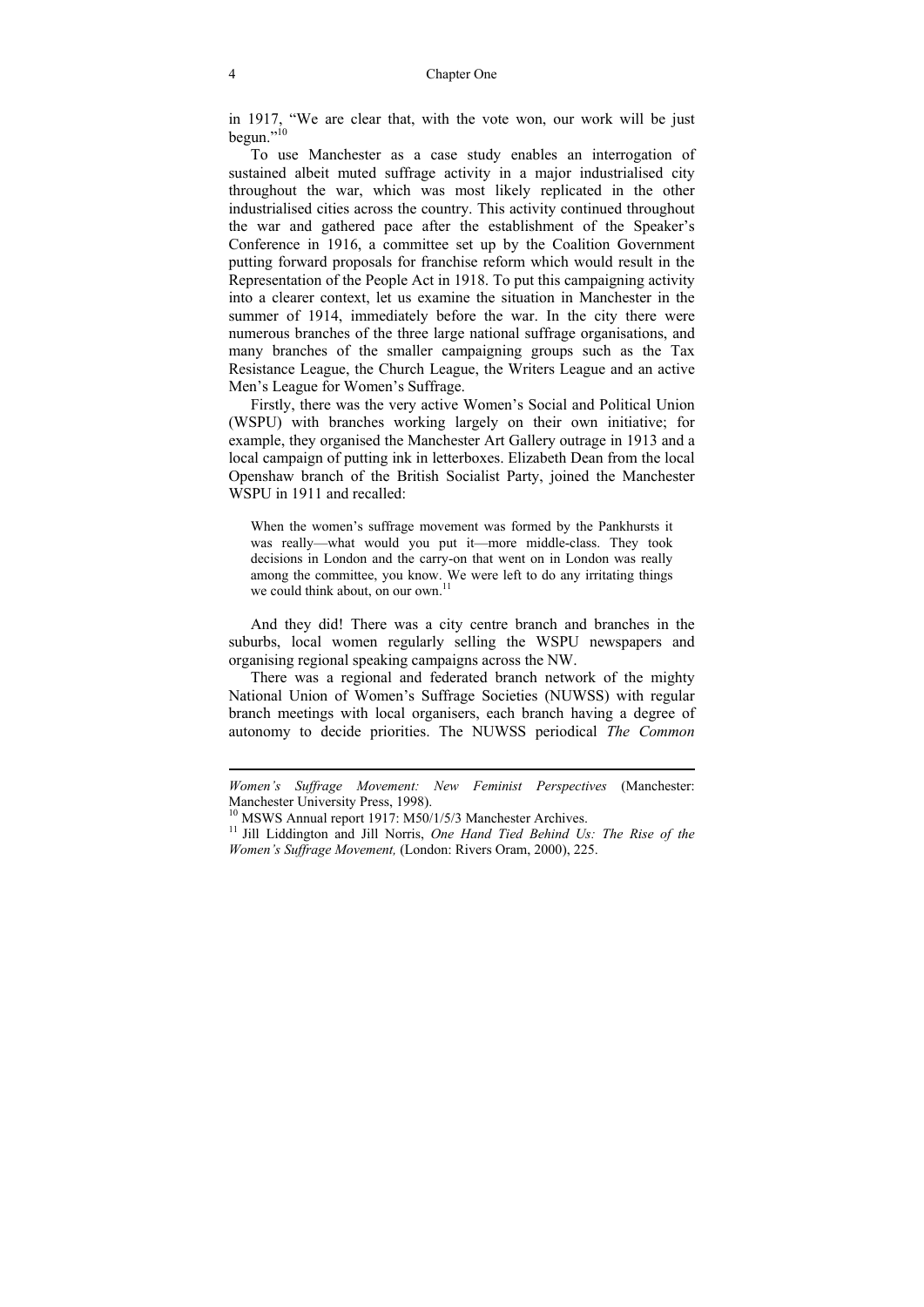in 1917, "We are clear that, with the vote won, our work will be just begun."10

To use Manchester as a case study enables an interrogation of sustained albeit muted suffrage activity in a major industrialised city throughout the war, which was most likely replicated in the other industrialised cities across the country. This activity continued throughout the war and gathered pace after the establishment of the Speaker's Conference in 1916, a committee set up by the Coalition Government putting forward proposals for franchise reform which would result in the Representation of the People Act in 1918. To put this campaigning activity into a clearer context, let us examine the situation in Manchester in the summer of 1914, immediately before the war. In the city there were numerous branches of the three large national suffrage organisations, and many branches of the smaller campaigning groups such as the Tax Resistance League, the Church League, the Writers League and an active Men's League for Women's Suffrage.

Firstly, there was the very active Women's Social and Political Union (WSPU) with branches working largely on their own initiative; for example, they organised the Manchester Art Gallery outrage in 1913 and a local campaign of putting ink in letterboxes. Elizabeth Dean from the local Openshaw branch of the British Socialist Party, joined the Manchester WSPU in 1911 and recalled:

When the women's suffrage movement was formed by the Pankhursts it was really—what would you put it—more middle-class. They took decisions in London and the carry-on that went on in London was really among the committee, you know. We were left to do any irritating things we could think about, on our own. $^{11}$ 

And they did! There was a city centre branch and branches in the suburbs, local women regularly selling the WSPU newspapers and organising regional speaking campaigns across the NW.

There was a regional and federated branch network of the mighty National Union of Women's Suffrage Societies (NUWSS) with regular branch meetings with local organisers, each branch having a degree of autonomy to decide priorities. The NUWSS periodical *The Common* 

*Women's Suffrage Movement: New Feminist Perspectives* (Manchester: Manchester University Press, 1998).

<sup>&</sup>lt;sup>10</sup> MSWS Annual report 1917: M50/1/5/3 Manchester Archives.

<sup>&</sup>lt;sup>11</sup> Jill Liddington and Jill Norris, *One Hand Tied Behind Us: The Rise of the Women's Suffrage Movement,* (London: Rivers Oram, 2000), 225.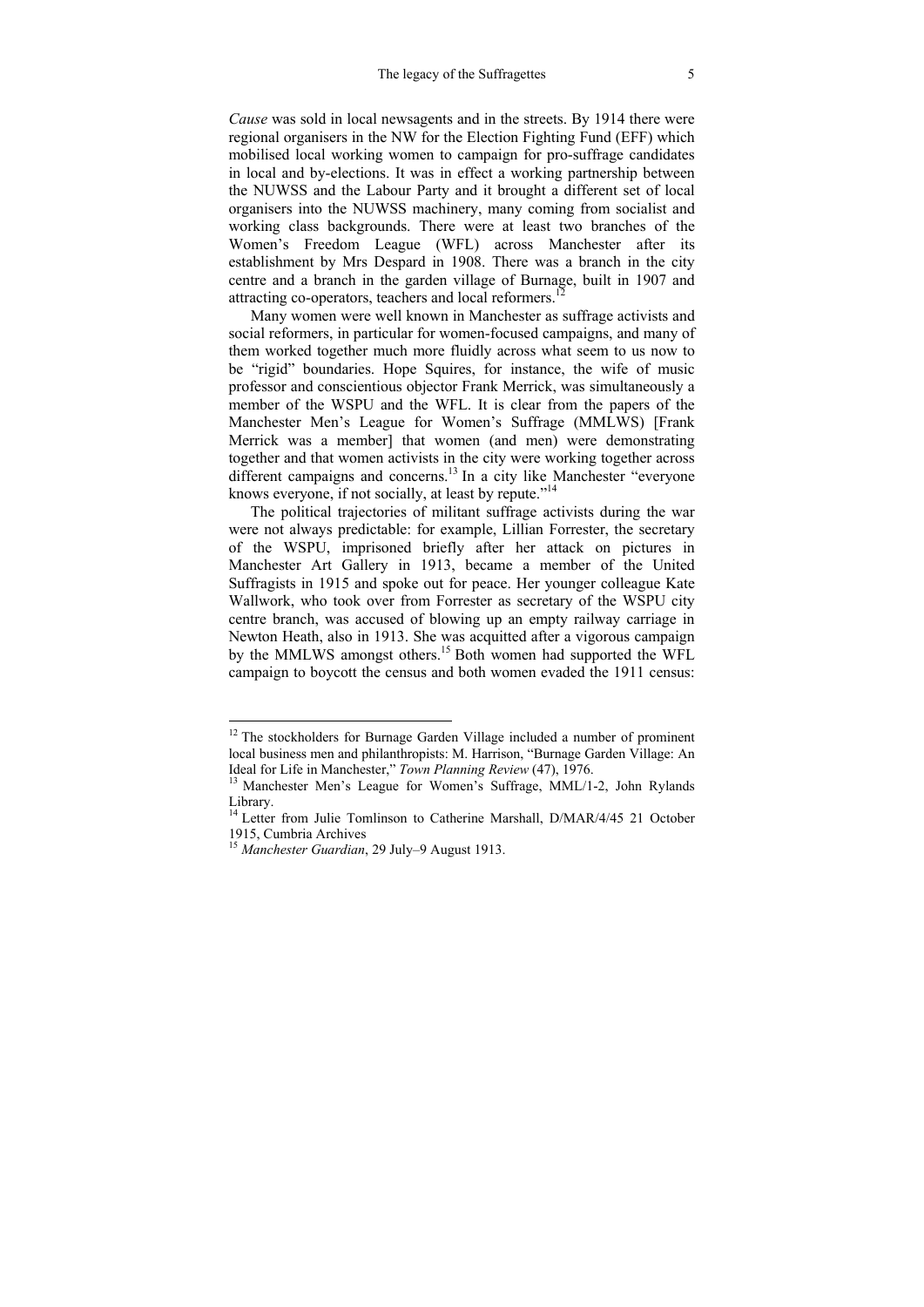*Cause* was sold in local newsagents and in the streets. By 1914 there were regional organisers in the NW for the Election Fighting Fund (EFF) which mobilised local working women to campaign for pro-suffrage candidates in local and by-elections. It was in effect a working partnership between the NUWSS and the Labour Party and it brought a different set of local organisers into the NUWSS machinery, many coming from socialist and working class backgrounds. There were at least two branches of the Women's Freedom League (WFL) across Manchester after its establishment by Mrs Despard in 1908. There was a branch in the city centre and a branch in the garden village of Burnage, built in 1907 and attracting co-operators, teachers and local reformers.<sup>12</sup>

Many women were well known in Manchester as suffrage activists and social reformers, in particular for women-focused campaigns, and many of them worked together much more fluidly across what seem to us now to be "rigid" boundaries. Hope Squires, for instance, the wife of music professor and conscientious objector Frank Merrick, was simultaneously a member of the WSPU and the WFL. It is clear from the papers of the Manchester Men's League for Women's Suffrage (MMLWS) [Frank Merrick was a member] that women (and men) were demonstrating together and that women activists in the city were working together across different campaigns and concerns.<sup>13</sup> In a city like Manchester "everyone" knows everyone, if not socially, at least by repute."<sup>14</sup>

The political trajectories of militant suffrage activists during the war were not always predictable: for example, Lillian Forrester, the secretary of the WSPU, imprisoned briefly after her attack on pictures in Manchester Art Gallery in 1913, became a member of the United Suffragists in 1915 and spoke out for peace. Her younger colleague Kate Wallwork, who took over from Forrester as secretary of the WSPU city centre branch, was accused of blowing up an empty railway carriage in Newton Heath, also in 1913. She was acquitted after a vigorous campaign by the MMLWS amongst others.<sup>15</sup> Both women had supported the WFL campaign to boycott the census and both women evaded the 1911 census:

 $12$  The stockholders for Burnage Garden Village included a number of prominent local business men and philanthropists: M. Harrison, "Burnage Garden Village: An Ideal for Life in Manchester," Town Planning Review (47), 1976.

<sup>&</sup>lt;sup>13</sup> Manchester Men's League for Women's Suffrage, MML/1-2, John Rylands Library.

<sup>&</sup>lt;sup>14</sup> Letter from Julie Tomlinson to Catherine Marshall, D/MAR/4/45 21 October 1915, Cumbria Archives

<sup>15</sup> *Manchester Guardian*, 29 July–9 August 1913.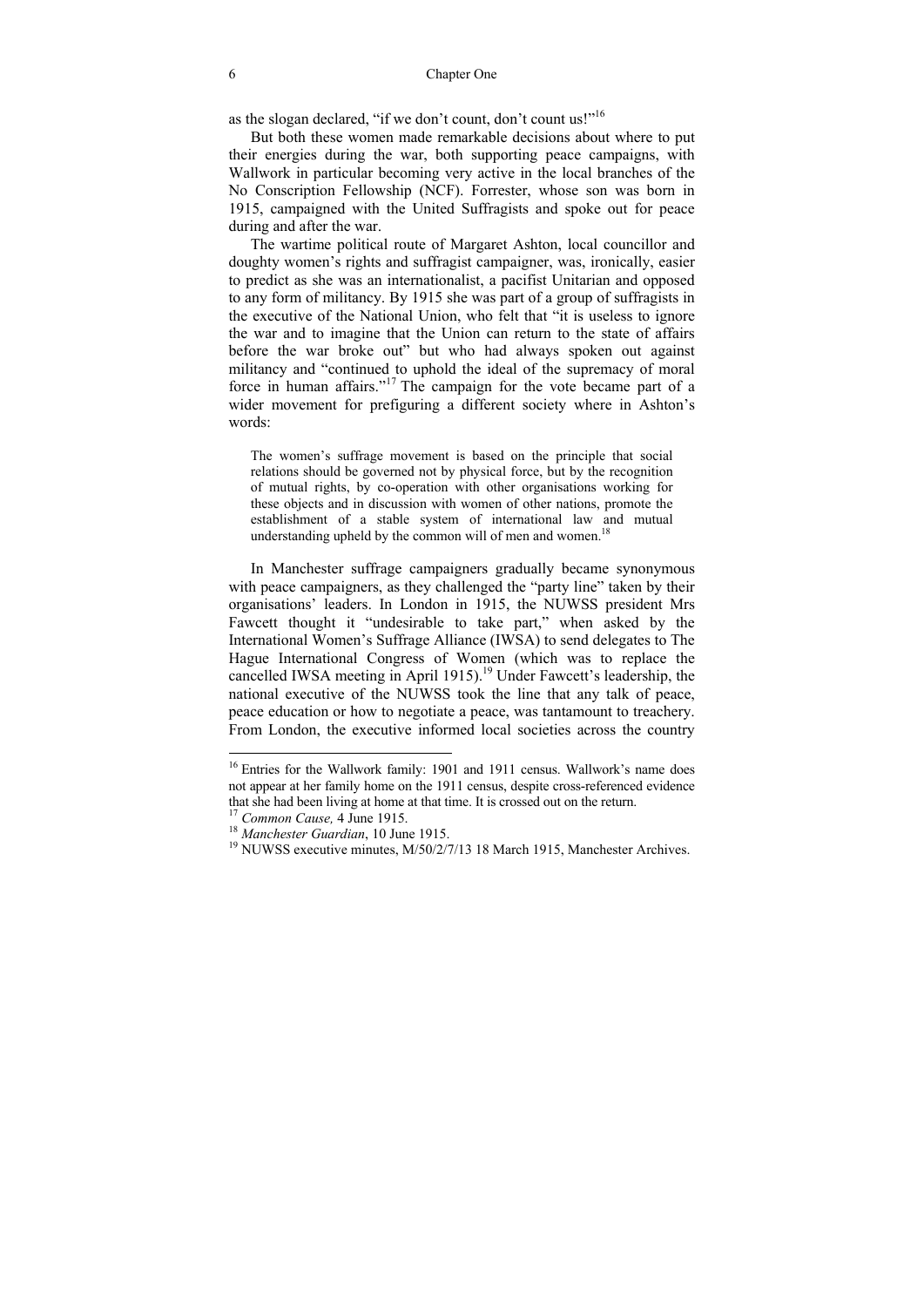as the slogan declared, "if we don't count, don't count us!"16

But both these women made remarkable decisions about where to put their energies during the war, both supporting peace campaigns, with Wallwork in particular becoming very active in the local branches of the No Conscription Fellowship (NCF). Forrester, whose son was born in 1915, campaigned with the United Suffragists and spoke out for peace during and after the war.

The wartime political route of Margaret Ashton, local councillor and doughty women's rights and suffragist campaigner, was, ironically, easier to predict as she was an internationalist, a pacifist Unitarian and opposed to any form of militancy. By 1915 she was part of a group of suffragists in the executive of the National Union, who felt that "it is useless to ignore the war and to imagine that the Union can return to the state of affairs before the war broke out" but who had always spoken out against militancy and "continued to uphold the ideal of the supremacy of moral force in human affairs."17 The campaign for the vote became part of a wider movement for prefiguring a different society where in Ashton's words:

The women's suffrage movement is based on the principle that social relations should be governed not by physical force, but by the recognition of mutual rights, by co-operation with other organisations working for these objects and in discussion with women of other nations, promote the establishment of a stable system of international law and mutual understanding upheld by the common will of men and women.<sup>18</sup>

In Manchester suffrage campaigners gradually became synonymous with peace campaigners, as they challenged the "party line" taken by their organisations' leaders. In London in 1915, the NUWSS president Mrs Fawcett thought it "undesirable to take part," when asked by the International Women's Suffrage Alliance (IWSA) to send delegates to The Hague International Congress of Women (which was to replace the cancelled IWSA meeting in April 1915).<sup>19</sup> Under Fawcett's leadership, the national executive of the NUWSS took the line that any talk of peace, peace education or how to negotiate a peace, was tantamount to treachery. From London, the executive informed local societies across the country

<sup>&</sup>lt;sup>16</sup> Entries for the Wallwork family: 1901 and 1911 census. Wallwork's name does not appear at her family home on the 1911 census, despite cross-referenced evidence that she had been living at home at that time. It is crossed out on the return.<br><sup>17</sup> Common Cause, 4 June 1915.<br><sup>18</sup> Manchester Guardian, 10 June 1915.<br><sup>19</sup> NUWSS executive minutes, M/50/2/7/13 18 March 1915, Manchester A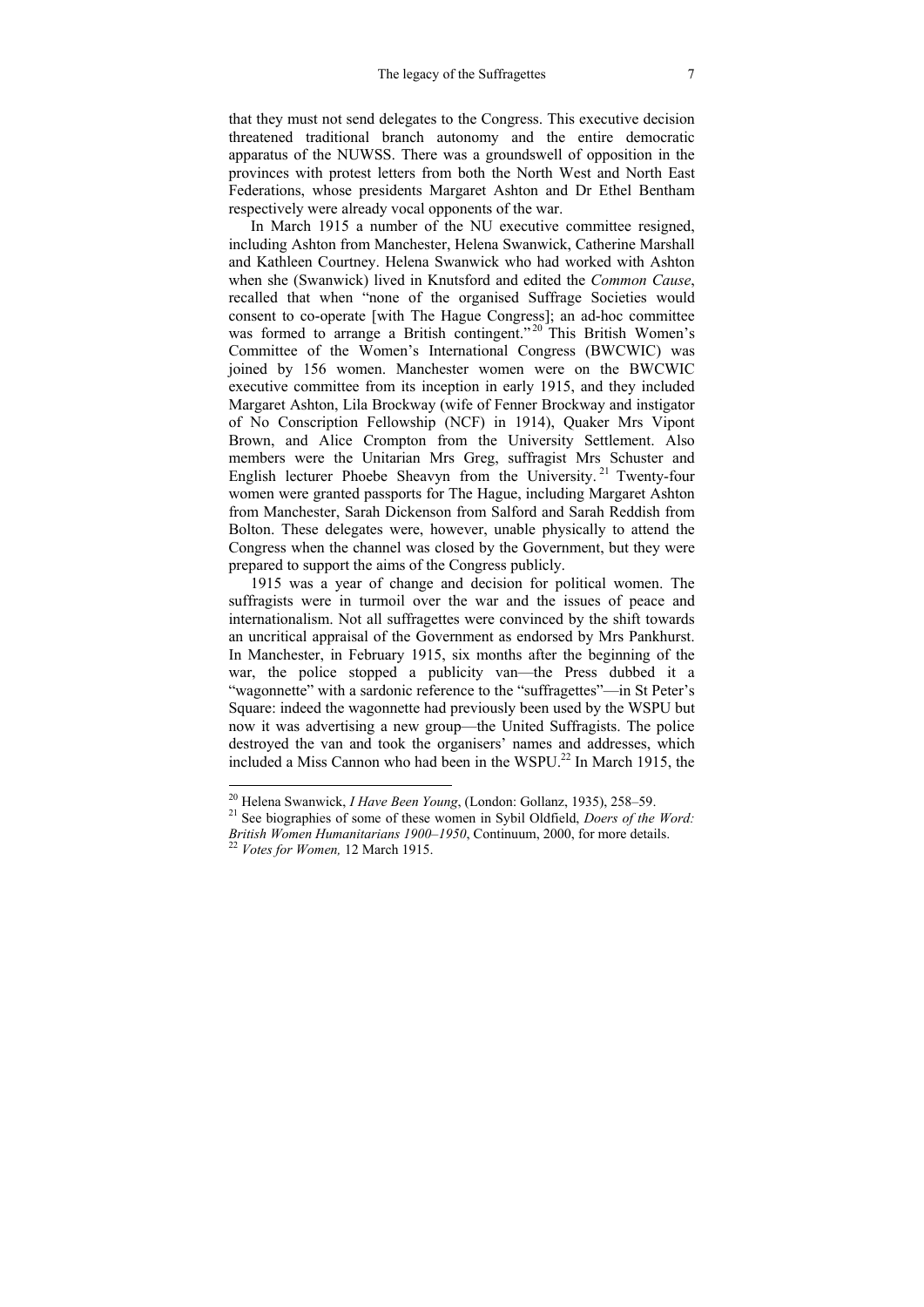that they must not send delegates to the Congress. This executive decision threatened traditional branch autonomy and the entire democratic apparatus of the NUWSS. There was a groundswell of opposition in the provinces with protest letters from both the North West and North East Federations, whose presidents Margaret Ashton and Dr Ethel Bentham respectively were already vocal opponents of the war.

In March 1915 a number of the NU executive committee resigned, including Ashton from Manchester, Helena Swanwick, Catherine Marshall and Kathleen Courtney. Helena Swanwick who had worked with Ashton when she (Swanwick) lived in Knutsford and edited the *Common Cause*, recalled that when "none of the organised Suffrage Societies would consent to co-operate [with The Hague Congress]; an ad-hoc committee was formed to arrange a British contingent."<sup>20</sup> This British Women's Committee of the Women's International Congress (BWCWIC) was joined by 156 women. Manchester women were on the BWCWIC executive committee from its inception in early 1915, and they included Margaret Ashton, Lila Brockway (wife of Fenner Brockway and instigator of No Conscription Fellowship (NCF) in 1914), Quaker Mrs Vipont Brown, and Alice Crompton from the University Settlement. Also members were the Unitarian Mrs Greg, suffragist Mrs Schuster and English lecturer Phoebe Sheavyn from the University.<sup>21</sup> Twenty-four women were granted passports for The Hague, including Margaret Ashton from Manchester, Sarah Dickenson from Salford and Sarah Reddish from Bolton. These delegates were, however, unable physically to attend the Congress when the channel was closed by the Government, but they were prepared to support the aims of the Congress publicly.

1915 was a year of change and decision for political women. The suffragists were in turmoil over the war and the issues of peace and internationalism. Not all suffragettes were convinced by the shift towards an uncritical appraisal of the Government as endorsed by Mrs Pankhurst. In Manchester, in February 1915, six months after the beginning of the war, the police stopped a publicity van—the Press dubbed it a "wagonnette" with a sardonic reference to the "suffragettes"—in St Peter's Square: indeed the wagonnette had previously been used by the WSPU but now it was advertising a new group—the United Suffragists. The police destroyed the van and took the organisers' names and addresses, which included a Miss Cannon who had been in the WSPU.<sup>22</sup> In March 1915, the

<sup>&</sup>lt;sup>20</sup> Helena Swanwick, *I Have Been Young*, (London: Gollanz, 1935), 258–59.<br><sup>21</sup> See biographies of some of these women in Sybil Oldfield. *Doers of the Word:* 

*British Women Humanitarians 1900–1950*, Continuum, 2000, for more details. 22 *Votes for Women,* 12 March 1915.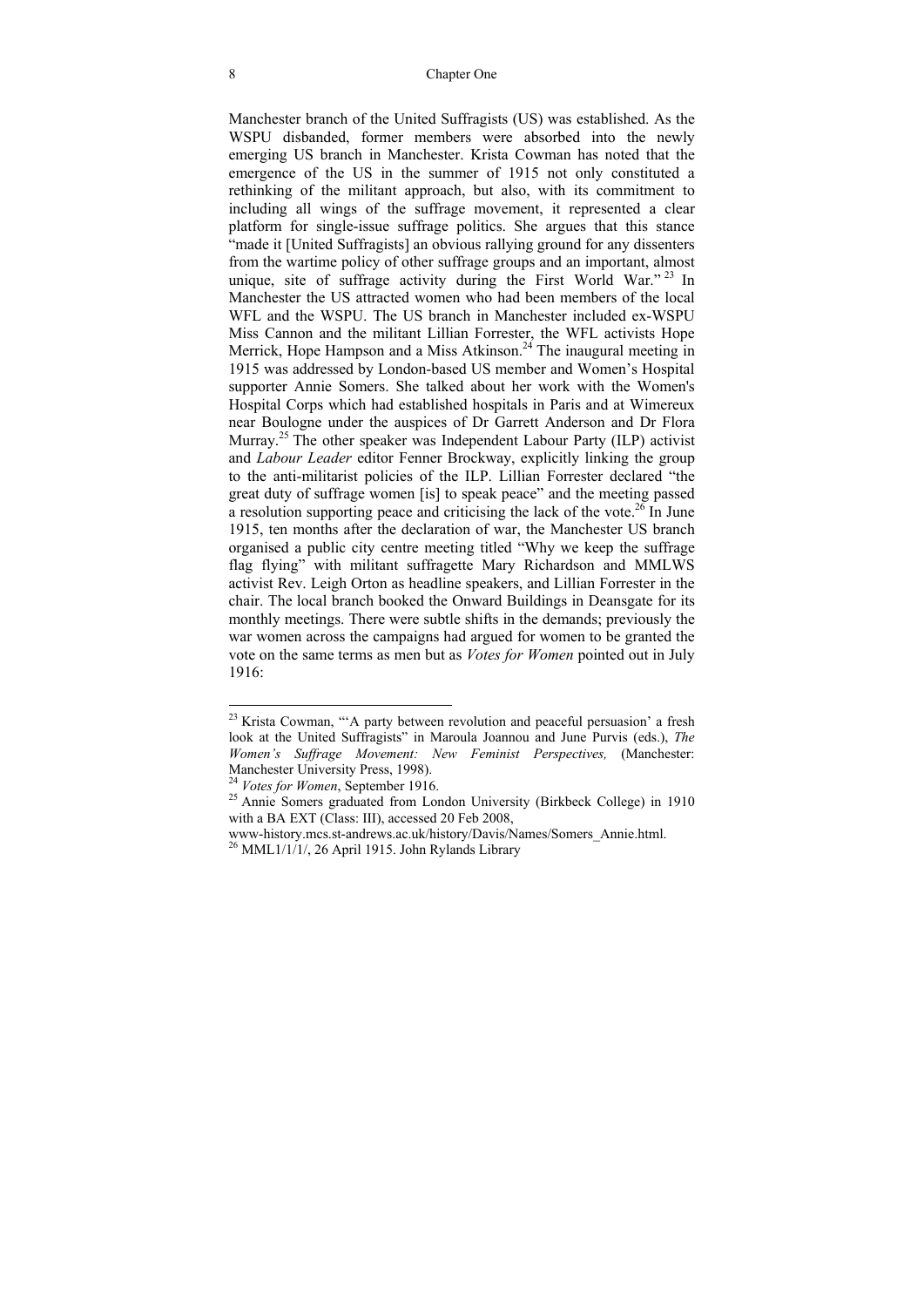Manchester branch of the United Suffragists (US) was established. As the WSPU disbanded, former members were absorbed into the newly emerging US branch in Manchester. Krista Cowman has noted that the emergence of the US in the summer of 1915 not only constituted a rethinking of the militant approach, but also, with its commitment to including all wings of the suffrage movement, it represented a clear platform for single-issue suffrage politics. She argues that this stance "made it [United Suffragists] an obvious rallying ground for any dissenters from the wartime policy of other suffrage groups and an important, almost unique, site of suffrage activity during the First World War."<sup>23</sup> In Manchester the US attracted women who had been members of the local WFL and the WSPU. The US branch in Manchester included ex-WSPU Miss Cannon and the militant Lillian Forrester, the WFL activists Hope Merrick, Hope Hampson and a Miss Atkinson.<sup>24</sup> The inaugural meeting in 1915 was addressed by London-based US member and Women's Hospital supporter Annie Somers. She talked about her work with the Women's Hospital Corps which had established hospitals in Paris and at Wimereux near Boulogne under the auspices of Dr Garrett Anderson and Dr Flora Murray.25 The other speaker was Independent Labour Party (ILP) activist and *Labour Leader* editor Fenner Brockway, explicitly linking the group to the anti-militarist policies of the ILP. Lillian Forrester declared "the great duty of suffrage women [is] to speak peace" and the meeting passed a resolution supporting peace and criticising the lack of the vote.<sup>26</sup> In June 1915, ten months after the declaration of war, the Manchester US branch organised a public city centre meeting titled "Why we keep the suffrage flag flying" with militant suffragette Mary Richardson and MMLWS activist Rev. Leigh Orton as headline speakers, and Lillian Forrester in the chair. The local branch booked the Onward Buildings in Deansgate for its monthly meetings. There were subtle shifts in the demands; previously the war women across the campaigns had argued for women to be granted the vote on the same terms as men but as *Votes for Women* pointed out in July 1916:

 $^{23}$  Krista Cowman, "'A party between revolution and peaceful persuasion' a fresh look at the United Suffragists" in Maroula Joannou and June Purvis (eds.), *The Women's Suffrage Movement: New Feminist Perspectives,* (Manchester: Manchester University Press, 1998).<br><sup>24</sup> Votes for Women, September 1916.

<sup>&</sup>lt;sup>25</sup> Annie Somers graduated from London University (Birkbeck College) in 1910 with a BA EXT (Class: III), accessed 20 Feb 2008,

www-history.mcs.st-andrews.ac.uk/history/Davis/Names/Somers\_Annie.html. 26 MML1/1/1/, 26 April 1915. John Rylands Library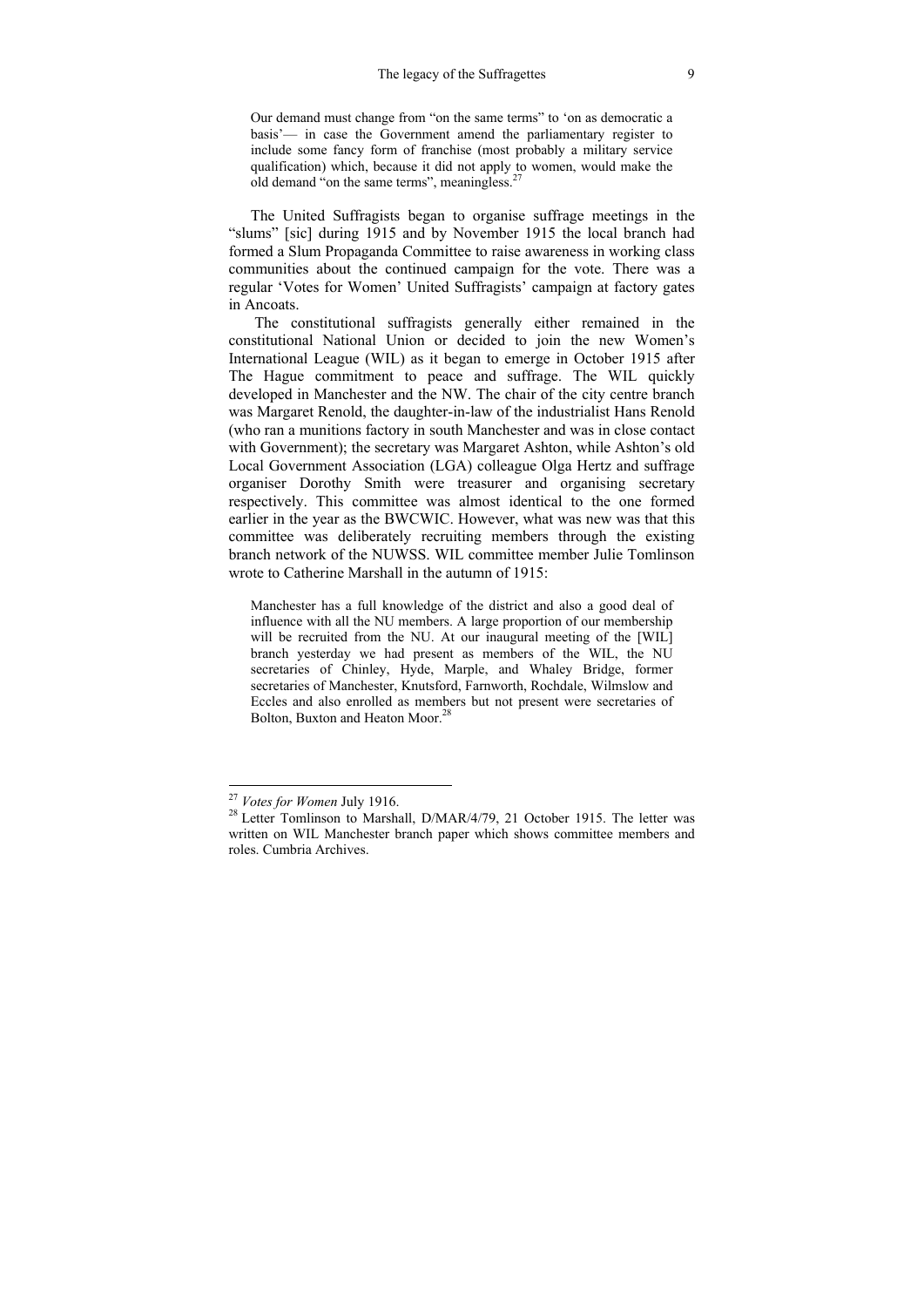Our demand must change from "on the same terms" to 'on as democratic a basis'— in case the Government amend the parliamentary register to include some fancy form of franchise (most probably a military service qualification) which, because it did not apply to women, would make the old demand "on the same terms", meaningless.27

The United Suffragists began to organise suffrage meetings in the "slums" [sic] during 1915 and by November 1915 the local branch had formed a Slum Propaganda Committee to raise awareness in working class communities about the continued campaign for the vote. There was a regular 'Votes for Women' United Suffragists' campaign at factory gates in Ancoats.

 The constitutional suffragists generally either remained in the constitutional National Union or decided to join the new Women's International League (WIL) as it began to emerge in October 1915 after The Hague commitment to peace and suffrage. The WIL quickly developed in Manchester and the NW. The chair of the city centre branch was Margaret Renold, the daughter-in-law of the industrialist Hans Renold (who ran a munitions factory in south Manchester and was in close contact with Government); the secretary was Margaret Ashton, while Ashton's old Local Government Association (LGA) colleague Olga Hertz and suffrage organiser Dorothy Smith were treasurer and organising secretary respectively. This committee was almost identical to the one formed earlier in the year as the BWCWIC. However, what was new was that this committee was deliberately recruiting members through the existing branch network of the NUWSS. WIL committee member Julie Tomlinson wrote to Catherine Marshall in the autumn of 1915:

Manchester has a full knowledge of the district and also a good deal of influence with all the NU members. A large proportion of our membership will be recruited from the NU. At our inaugural meeting of the [WIL] branch yesterday we had present as members of the WIL, the NU secretaries of Chinley, Hyde, Marple, and Whaley Bridge, former secretaries of Manchester, Knutsford, Farnworth, Rochdale, Wilmslow and Eccles and also enrolled as members but not present were secretaries of Bolton, Buxton and Heaton Moor.<sup>28</sup>

<sup>&</sup>lt;sup>27</sup> Votes for Women July 1916.

<sup>&</sup>lt;sup>28</sup> Letter Tomlinson to Marshall, D/MAR/4/79, 21 October 1915. The letter was written on WIL Manchester branch paper which shows committee members and roles. Cumbria Archives.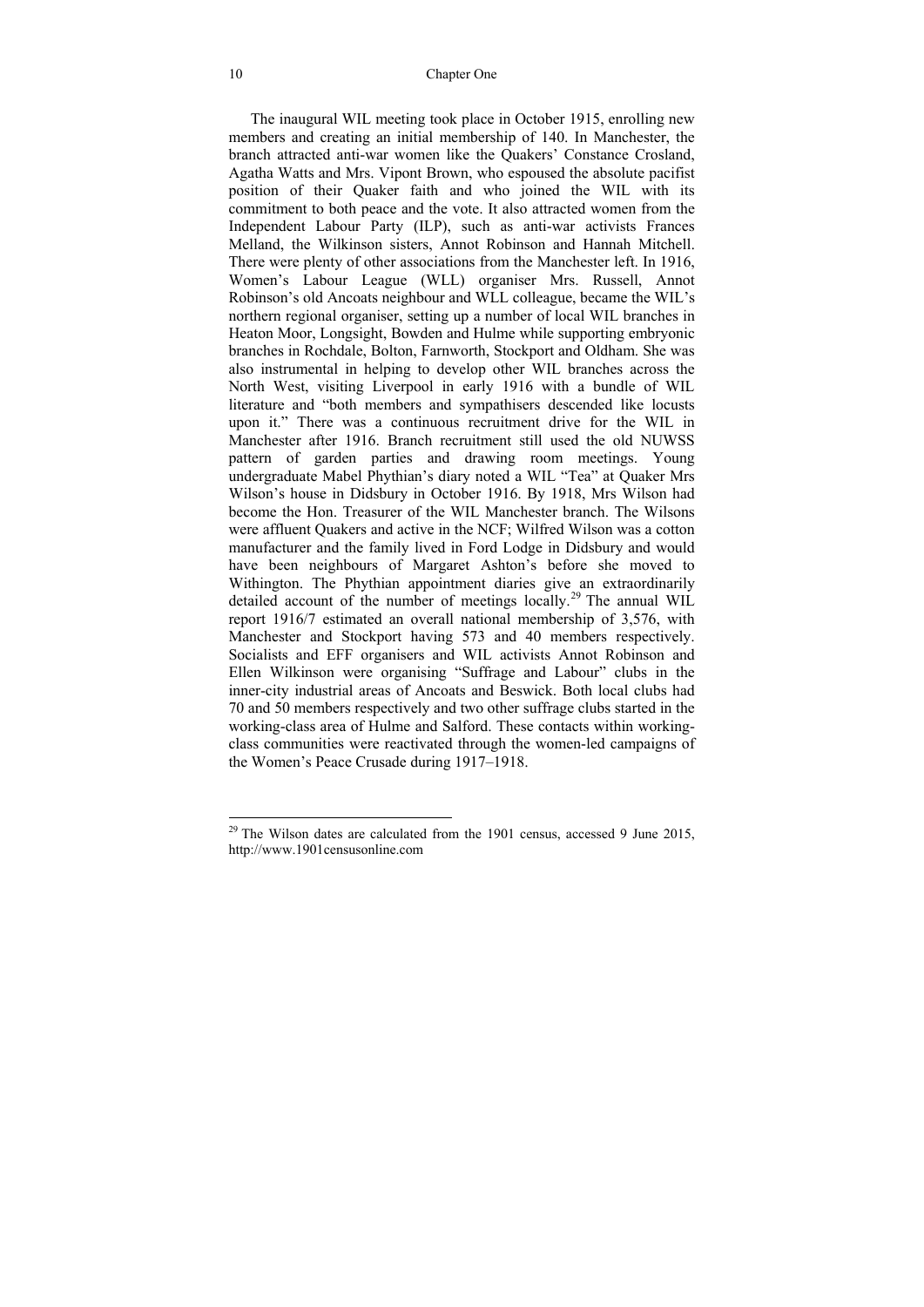The inaugural WIL meeting took place in October 1915, enrolling new members and creating an initial membership of 140. In Manchester, the branch attracted anti-war women like the Quakers' Constance Crosland, Agatha Watts and Mrs. Vipont Brown, who espoused the absolute pacifist position of their Quaker faith and who joined the WIL with its commitment to both peace and the vote. It also attracted women from the Independent Labour Party (ILP), such as anti-war activists Frances Melland, the Wilkinson sisters, Annot Robinson and Hannah Mitchell. There were plenty of other associations from the Manchester left. In 1916, Women's Labour League (WLL) organiser Mrs. Russell, Annot Robinson's old Ancoats neighbour and WLL colleague, became the WIL's northern regional organiser, setting up a number of local WIL branches in Heaton Moor, Longsight, Bowden and Hulme while supporting embryonic branches in Rochdale, Bolton, Farnworth, Stockport and Oldham. She was also instrumental in helping to develop other WIL branches across the North West, visiting Liverpool in early 1916 with a bundle of WIL literature and "both members and sympathisers descended like locusts upon it." There was a continuous recruitment drive for the WIL in Manchester after 1916. Branch recruitment still used the old NUWSS pattern of garden parties and drawing room meetings. Young undergraduate Mabel Phythian's diary noted a WIL "Tea" at Quaker Mrs Wilson's house in Didsbury in October 1916. By 1918, Mrs Wilson had become the Hon. Treasurer of the WIL Manchester branch. The Wilsons were affluent Quakers and active in the NCF; Wilfred Wilson was a cotton manufacturer and the family lived in Ford Lodge in Didsbury and would have been neighbours of Margaret Ashton's before she moved to Withington. The Phythian appointment diaries give an extraordinarily detailed account of the number of meetings locally.<sup>29</sup> The annual WIL report 1916/7 estimated an overall national membership of 3,576, with Manchester and Stockport having 573 and 40 members respectively. Socialists and EFF organisers and WIL activists Annot Robinson and Ellen Wilkinson were organising "Suffrage and Labour" clubs in the inner-city industrial areas of Ancoats and Beswick. Both local clubs had 70 and 50 members respectively and two other suffrage clubs started in the working-class area of Hulme and Salford. These contacts within workingclass communities were reactivated through the women-led campaigns of the Women's Peace Crusade during 1917–1918.

 $^{29}$  The Wilson dates are calculated from the 1901 census, accessed 9 June 2015, http://www.1901censusonline.com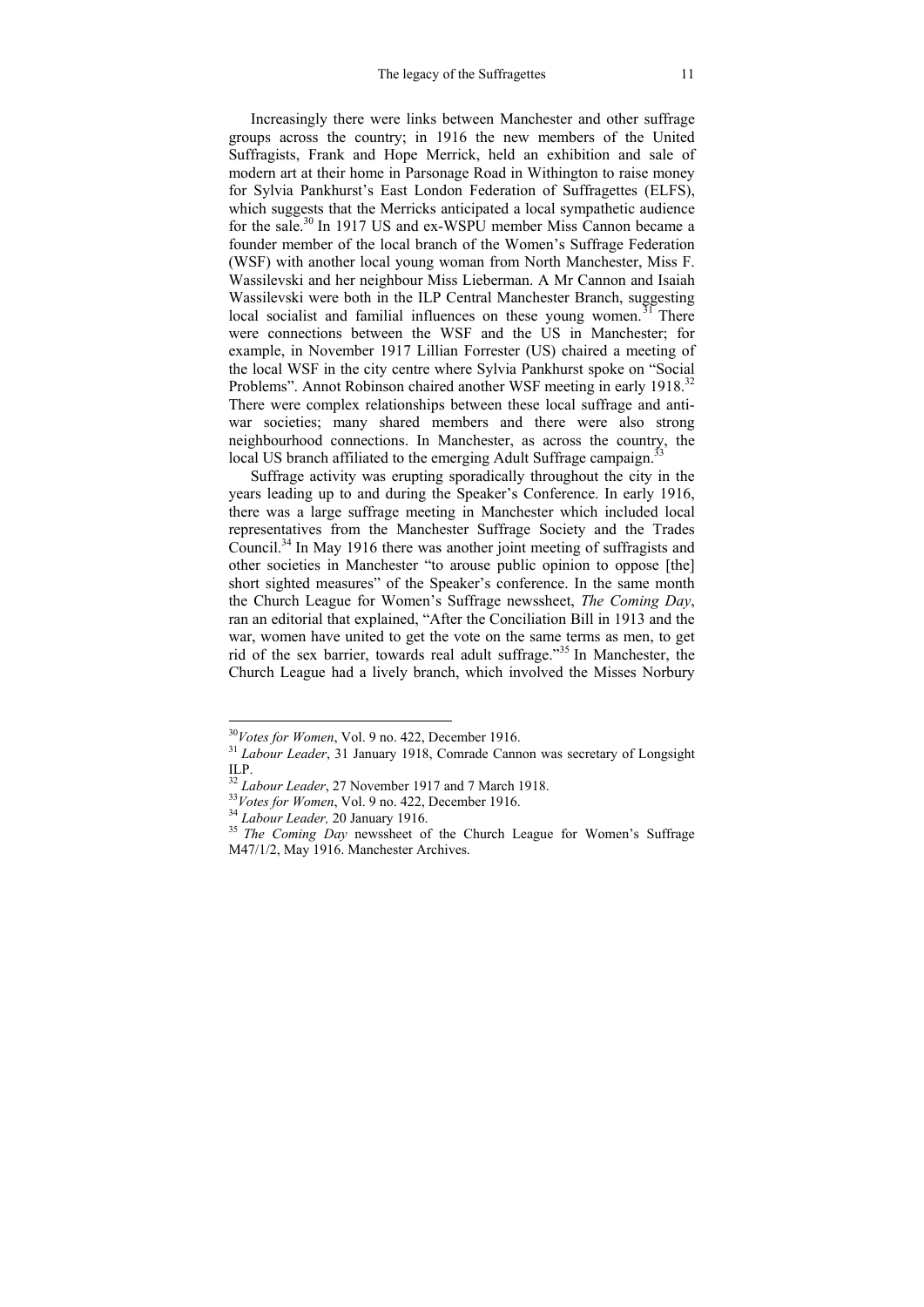Increasingly there were links between Manchester and other suffrage groups across the country; in 1916 the new members of the United Suffragists, Frank and Hope Merrick, held an exhibition and sale of modern art at their home in Parsonage Road in Withington to raise money for Sylvia Pankhurst's East London Federation of Suffragettes (ELFS), which suggests that the Merricks anticipated a local sympathetic audience for the sale.30 In 1917 US and ex-WSPU member Miss Cannon became a founder member of the local branch of the Women's Suffrage Federation (WSF) with another local young woman from North Manchester, Miss F. Wassilevski and her neighbour Miss Lieberman. A Mr Cannon and Isaiah Wassilevski were both in the ILP Central Manchester Branch, suggesting local socialist and familial influences on these young women.<sup> $31$ </sup> There were connections between the WSF and the US in Manchester; for example, in November 1917 Lillian Forrester (US) chaired a meeting of the local WSF in the city centre where Sylvia Pankhurst spoke on "Social Problems". Annot Robinson chaired another WSF meeting in early 1918.<sup>32</sup> There were complex relationships between these local suffrage and antiwar societies; many shared members and there were also strong neighbourhood connections. In Manchester, as across the country, the local US branch affiliated to the emerging Adult Suffrage campaign.<sup>33</sup>

Suffrage activity was erupting sporadically throughout the city in the years leading up to and during the Speaker's Conference. In early 1916, there was a large suffrage meeting in Manchester which included local representatives from the Manchester Suffrage Society and the Trades Council.34 In May 1916 there was another joint meeting of suffragists and other societies in Manchester "to arouse public opinion to oppose [the] short sighted measures" of the Speaker's conference. In the same month the Church League for Women's Suffrage newssheet, *The Coming Day*, ran an editorial that explained, "After the Conciliation Bill in 1913 and the war, women have united to get the vote on the same terms as men, to get rid of the sex barrier, towards real adult suffrage."35 In Manchester, the Church League had a lively branch, which involved the Misses Norbury

<sup>&</sup>lt;sup>30</sup>Votes for Women, Vol. 9 no. 422, December 1916.

<sup>&</sup>lt;sup>31</sup> Labour Leader, 31 January 1918, Comrade Cannon was secretary of Longsight ILP.<br><sup>32</sup> Labour Leader, 27 November 1917 and 7 March 1918.

<sup>&</sup>lt;sup>33</sup>*Votes for Women*, Vol. 9 no. 422, December 1916.<br><sup>34</sup> Labour Leader, 20 January 1916.<br><sup>35</sup> The Coming Day newssheet of the Church League for Women's Suffrage M47/1/2, May 1916. Manchester Archives.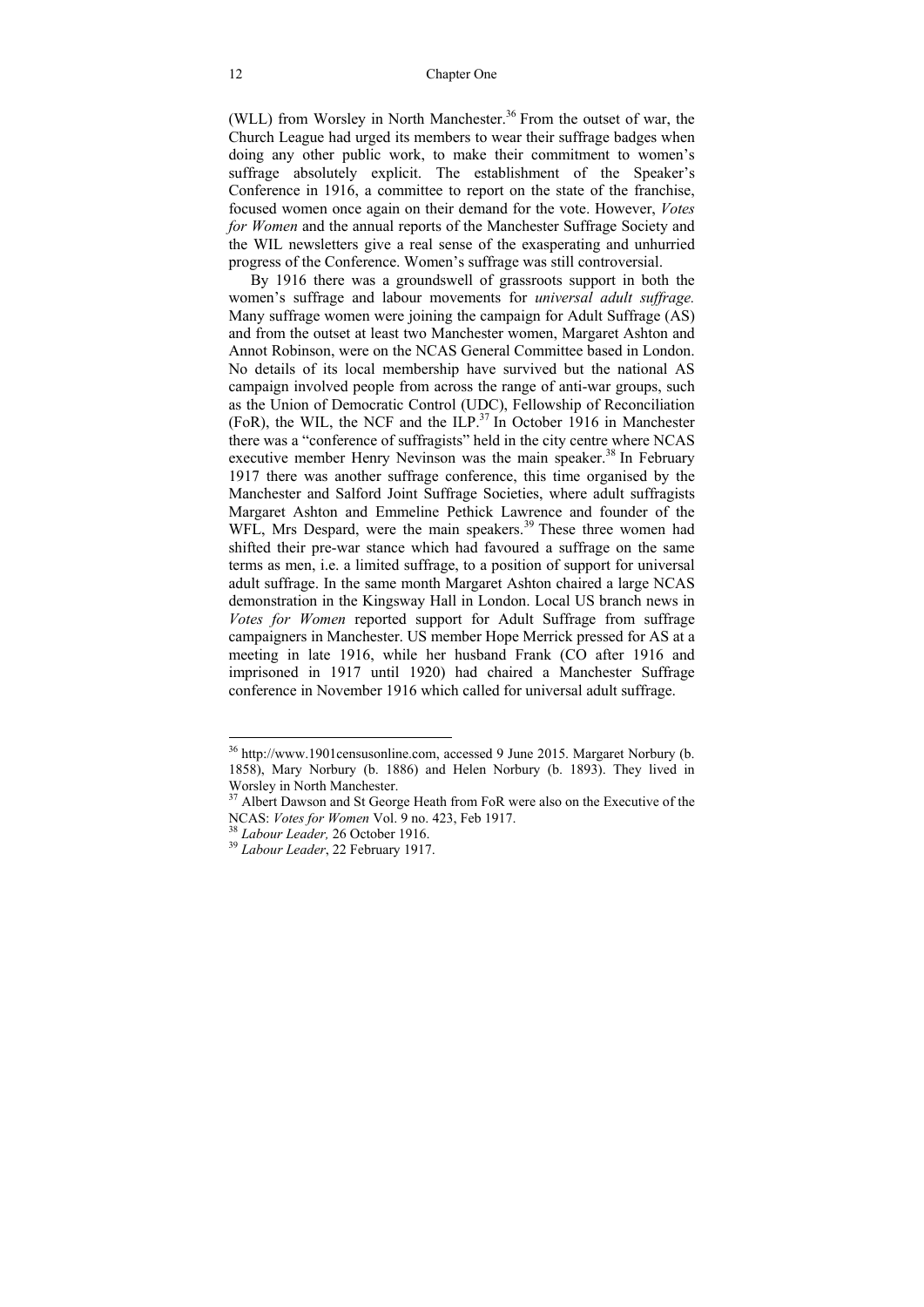(WLL) from Worsley in North Manchester.<sup>36</sup> From the outset of war, the Church League had urged its members to wear their suffrage badges when doing any other public work, to make their commitment to women's suffrage absolutely explicit. The establishment of the Speaker's Conference in 1916, a committee to report on the state of the franchise, focused women once again on their demand for the vote. However, *Votes for Women* and the annual reports of the Manchester Suffrage Society and the WIL newsletters give a real sense of the exasperating and unhurried progress of the Conference. Women's suffrage was still controversial.

By 1916 there was a groundswell of grassroots support in both the women's suffrage and labour movements for *universal adult suffrage.* Many suffrage women were joining the campaign for Adult Suffrage (AS) and from the outset at least two Manchester women, Margaret Ashton and Annot Robinson, were on the NCAS General Committee based in London. No details of its local membership have survived but the national AS campaign involved people from across the range of anti-war groups, such as the Union of Democratic Control (UDC), Fellowship of Reconciliation (FoR), the WIL, the NCF and the ILP. $37 \text{ In}$  October 1916 in Manchester there was a "conference of suffragists" held in the city centre where NCAS executive member Henry Nevinson was the main speaker.<sup>38</sup> In February 1917 there was another suffrage conference, this time organised by the Manchester and Salford Joint Suffrage Societies, where adult suffragists Margaret Ashton and Emmeline Pethick Lawrence and founder of the WFL, Mrs Despard, were the main speakers.<sup>39</sup> These three women had shifted their pre-war stance which had favoured a suffrage on the same terms as men, i.e. a limited suffrage, to a position of support for universal adult suffrage. In the same month Margaret Ashton chaired a large NCAS demonstration in the Kingsway Hall in London. Local US branch news in *Votes for Women* reported support for Adult Suffrage from suffrage campaigners in Manchester. US member Hope Merrick pressed for AS at a meeting in late 1916, while her husband Frank (CO after 1916 and imprisoned in 1917 until 1920) had chaired a Manchester Suffrage conference in November 1916 which called for universal adult suffrage.

<sup>&</sup>lt;sup>36</sup> http://www.1901censusonline.com, accessed 9 June 2015. Margaret Norbury (b. 1858), Mary Norbury (b. 1886) and Helen Norbury (b. 1893). They lived in Worsley in North Manchester.

 $37$  Albert Dawson and St George Heath from FoR were also on the Executive of the NCAS: *Votes for Women* Vol. 9 no. 423, Feb 1917. 38 *Labour Leader,* 26 October 1916. 39 *Labour Leader*, 22 February 1917.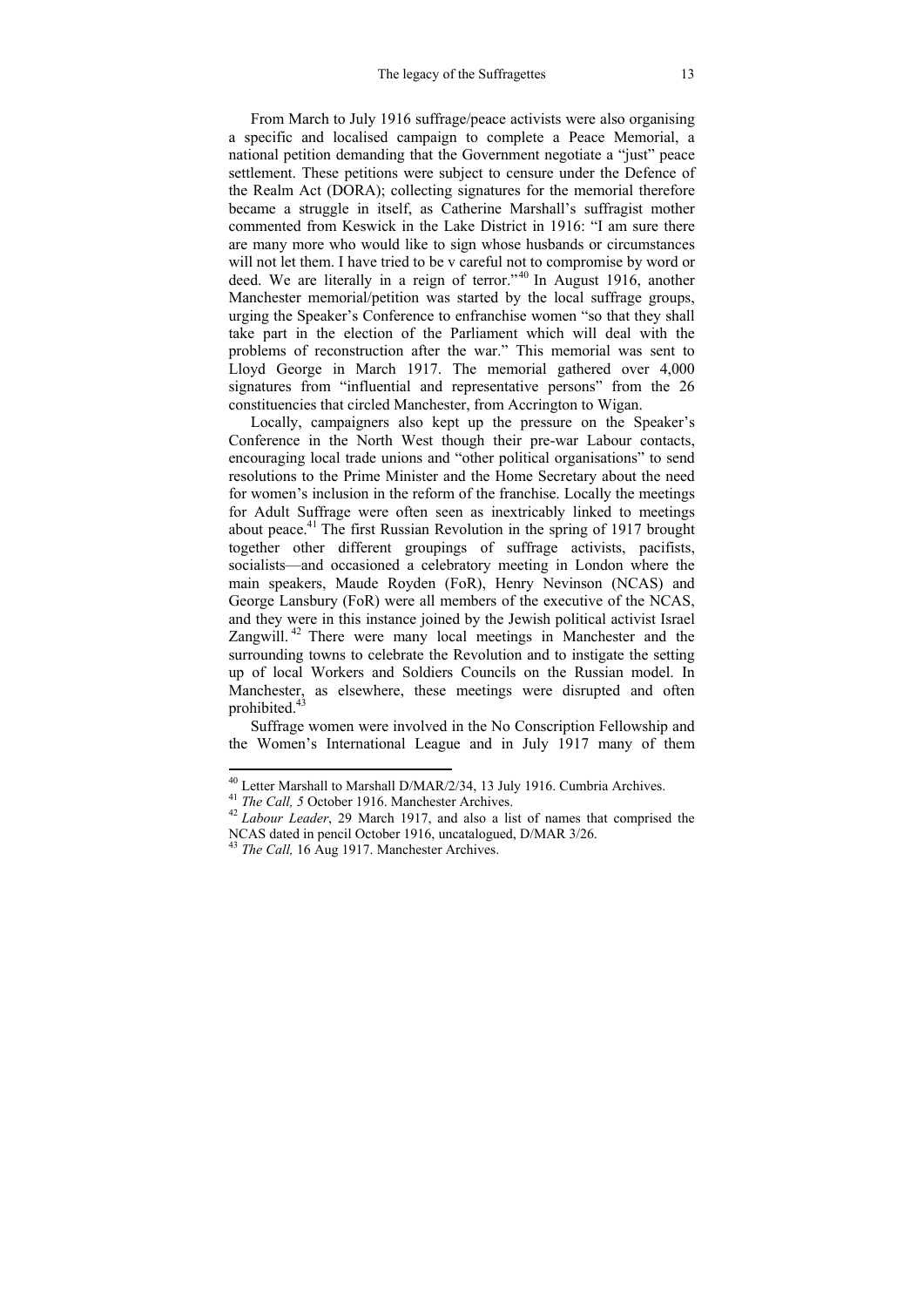From March to July 1916 suffrage/peace activists were also organising a specific and localised campaign to complete a Peace Memorial, a national petition demanding that the Government negotiate a "just" peace settlement. These petitions were subject to censure under the Defence of the Realm Act (DORA); collecting signatures for the memorial therefore became a struggle in itself, as Catherine Marshall's suffragist mother commented from Keswick in the Lake District in 1916: "I am sure there are many more who would like to sign whose husbands or circumstances will not let them. I have tried to be v careful not to compromise by word or deed. We are literally in a reign of terror."<sup>40</sup> In August 1916, another Manchester memorial/petition was started by the local suffrage groups, urging the Speaker's Conference to enfranchise women "so that they shall take part in the election of the Parliament which will deal with the problems of reconstruction after the war." This memorial was sent to Lloyd George in March 1917. The memorial gathered over 4,000 signatures from "influential and representative persons" from the 26 constituencies that circled Manchester, from Accrington to Wigan.

Locally, campaigners also kept up the pressure on the Speaker's Conference in the North West though their pre-war Labour contacts, encouraging local trade unions and "other political organisations" to send resolutions to the Prime Minister and the Home Secretary about the need for women's inclusion in the reform of the franchise. Locally the meetings for Adult Suffrage were often seen as inextricably linked to meetings about peace.41 The first Russian Revolution in the spring of 1917 brought together other different groupings of suffrage activists, pacifists, socialists—and occasioned a celebratory meeting in London where the main speakers, Maude Royden (FoR), Henry Nevinson (NCAS) and George Lansbury (FoR) were all members of the executive of the NCAS, and they were in this instance joined by the Jewish political activist Israel Zangwill. 42 There were many local meetings in Manchester and the surrounding towns to celebrate the Revolution and to instigate the setting up of local Workers and Soldiers Councils on the Russian model. In Manchester, as elsewhere, these meetings were disrupted and often prohibited.<sup>43</sup>

Suffrage women were involved in the No Conscription Fellowship and the Women's International League and in July 1917 many of them

<sup>&</sup>lt;sup>40</sup> Letter Marshall to Marshall D/MAR/2/34, 13 July 1916. Cumbria Archives.<br><sup>41</sup> *The Call, 5* October 1916. Manchester Archives.<br><sup>42</sup> *Labour Leader*, 29 March 1917, and also a list of names that comprised the NCAS dated in pencil October 1916, uncatalogued, D/MAR 3/26. 43 *The Call,* 16 Aug 1917. Manchester Archives.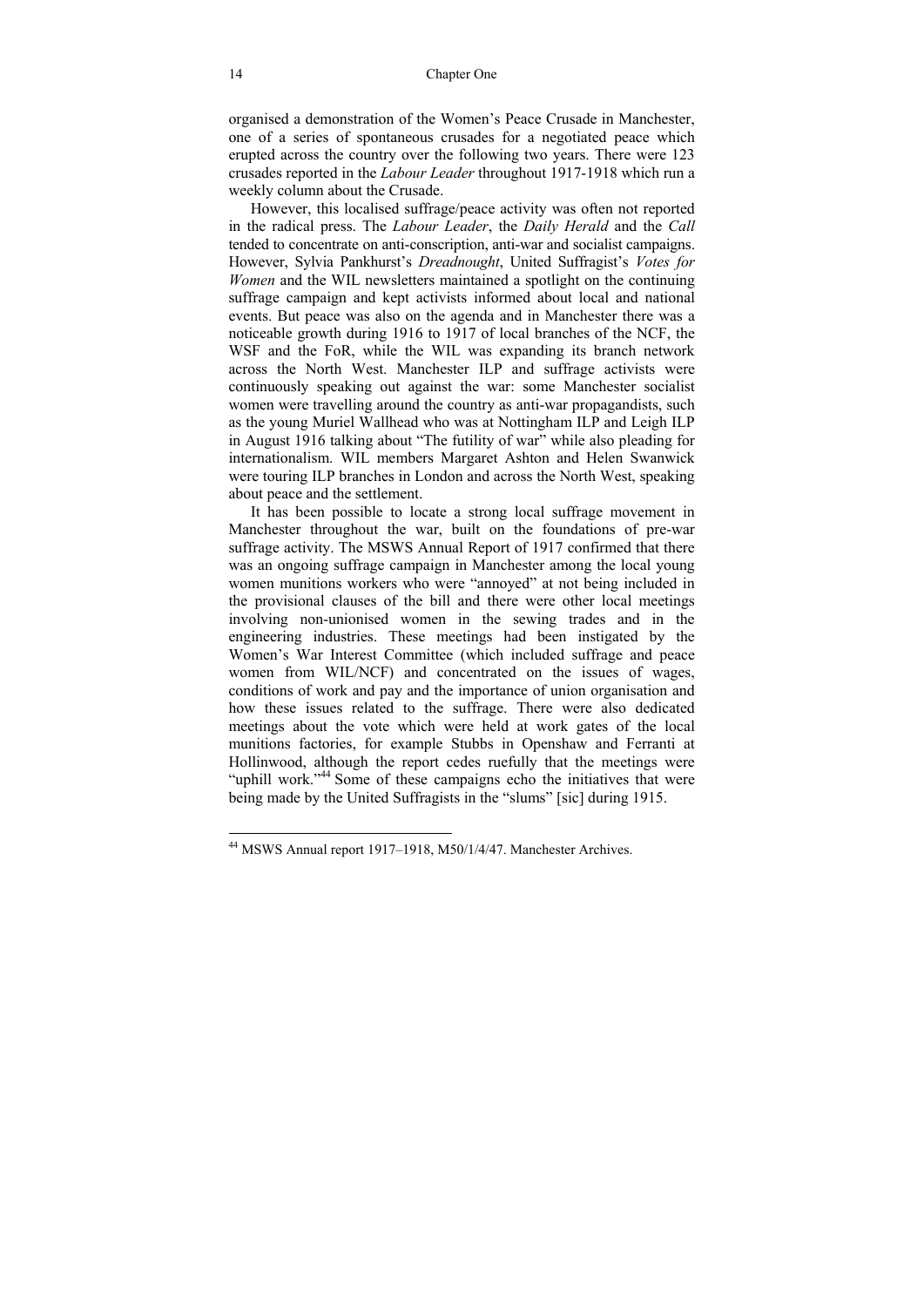organised a demonstration of the Women's Peace Crusade in Manchester, one of a series of spontaneous crusades for a negotiated peace which erupted across the country over the following two years. There were 123 crusades reported in the *Labour Leader* throughout 1917-1918 which run a weekly column about the Crusade.

However, this localised suffrage/peace activity was often not reported in the radical press. The *Labour Leader*, the *Daily Herald* and the *Call* tended to concentrate on anti-conscription, anti-war and socialist campaigns. However, Sylvia Pankhurst's *Dreadnought*, United Suffragist's *Votes for Women* and the WIL newsletters maintained a spotlight on the continuing suffrage campaign and kept activists informed about local and national events. But peace was also on the agenda and in Manchester there was a noticeable growth during 1916 to 1917 of local branches of the NCF, the WSF and the FoR, while the WIL was expanding its branch network across the North West. Manchester ILP and suffrage activists were continuously speaking out against the war: some Manchester socialist women were travelling around the country as anti-war propagandists, such as the young Muriel Wallhead who was at Nottingham ILP and Leigh ILP in August 1916 talking about "The futility of war" while also pleading for internationalism. WIL members Margaret Ashton and Helen Swanwick were touring ILP branches in London and across the North West, speaking about peace and the settlement.

It has been possible to locate a strong local suffrage movement in Manchester throughout the war, built on the foundations of pre-war suffrage activity. The MSWS Annual Report of 1917 confirmed that there was an ongoing suffrage campaign in Manchester among the local young women munitions workers who were "annoyed" at not being included in the provisional clauses of the bill and there were other local meetings involving non-unionised women in the sewing trades and in the engineering industries. These meetings had been instigated by the Women's War Interest Committee (which included suffrage and peace women from WIL/NCF) and concentrated on the issues of wages, conditions of work and pay and the importance of union organisation and how these issues related to the suffrage. There were also dedicated meetings about the vote which were held at work gates of the local munitions factories, for example Stubbs in Openshaw and Ferranti at Hollinwood, although the report cedes ruefully that the meetings were "uphill work."<sup>44</sup> Some of these campaigns echo the initiatives that were being made by the United Suffragists in the "slums" [sic] during 1915.

 $\overline{\phantom{a}}$ 

<sup>44</sup> MSWS Annual report 1917–1918, M50/1/4/47. Manchester Archives.